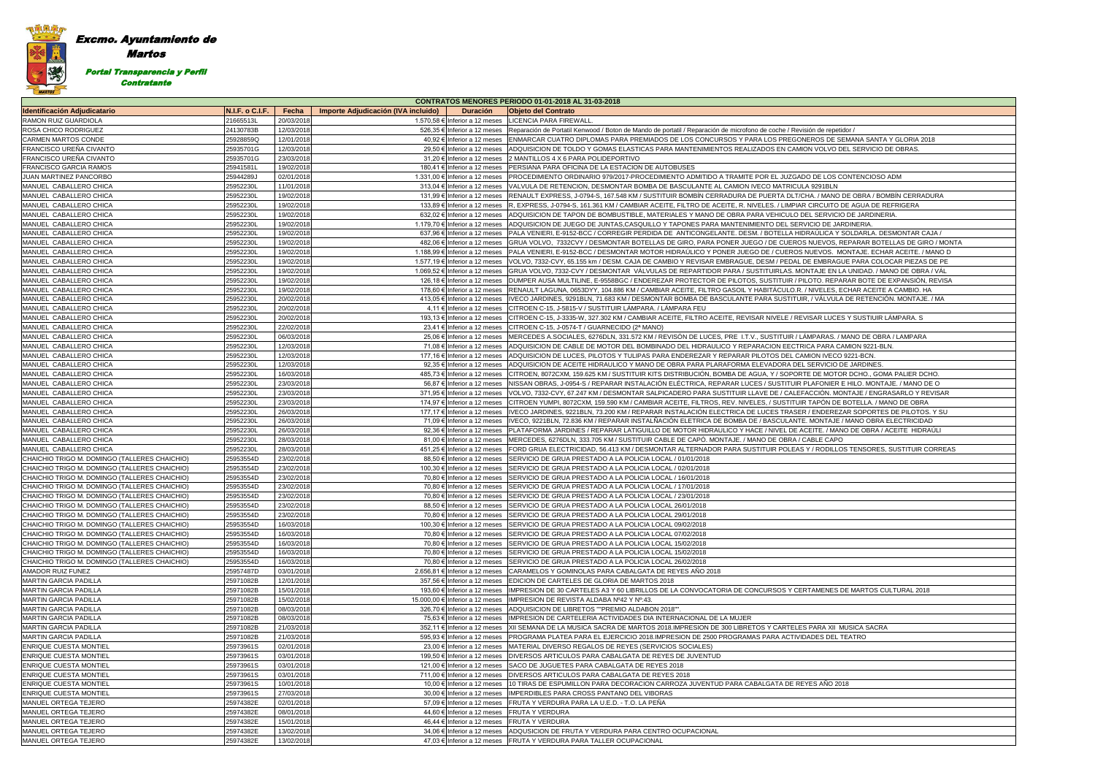**Contratante** 

| <b>CONTRATOS MENORES PERIODO 01-01-2018 AL 31-03-2018</b> |                        |                          |                                     |                                                              |                                                                                                                                                                                                                                                  |  |  |
|-----------------------------------------------------------|------------------------|--------------------------|-------------------------------------|--------------------------------------------------------------|--------------------------------------------------------------------------------------------------------------------------------------------------------------------------------------------------------------------------------------------------|--|--|
| <b>Identificación Adjudicatario</b>                       | N.I.F. o C.I.F.        | Fecha                    | Importe Adjudicación (IVA incluido) | <b>Duración</b>                                              | <b>Objeto del Contrato</b>                                                                                                                                                                                                                       |  |  |
| RAMON RUIZ GUARDIOLA                                      | 21665513L              | 20/03/2018               |                                     | 1.570,58 € Inferior a 12 meses                               | LICENCIA PARA FIREWALL                                                                                                                                                                                                                           |  |  |
| ROSA CHICO RODRIGUEZ                                      | 24130783B              | 12/03/2018               |                                     | 526,35 € Inferior a 12 meses                                 | Reparación de Portatil Kenwood / Boton de Mando de portatil / Reparación de microfono de coche / Revisión de repetidor                                                                                                                           |  |  |
| CARMEN MARTOS CONDE                                       | 25928859Q              | 12/01/2018               |                                     | 40,92 € Inferior a 12 meses                                  | ENMARCAR CUATRO DIPLOMAS PARA PREMIADOS DE LOS CONCURSOS Y PARA LOS PREGONEROS DE SEMANA SANTA Y GLORIA 2018                                                                                                                                     |  |  |
| FRANCISCO UREÑA CIVANTO                                   | 25935701G              | 12/03/2018               |                                     | 29,50 € Inferior a 12 meses                                  | ADQUISICION DE TOLDO Y GOMAS ELASTICAS PARA MANTENIMIENTOS REALIZADOS EN CAMION VOLVO DEL SERVICIO DE OBRAS.                                                                                                                                     |  |  |
| FRANCISCO UREÑA CIVANTO                                   | 25935701G              | 23/03/2018               |                                     | 31,20 € Inferior a 12 meses                                  | 2 MANTILLOS 4 X 6 PARA POLIDEPORTIVO                                                                                                                                                                                                             |  |  |
| FRANCISCO GARCIA RAMOS                                    | 25941581L              | 19/02/2018               |                                     | 180,41 € Inferior a 12 meses                                 | PERSIANA PARA OFICINA DE LA ESTACION DE AUTOBUSES                                                                                                                                                                                                |  |  |
| JUAN MARTINEZ PANCORBO                                    | 25944289J              | 02/01/2018               |                                     | 1.331,00 € Inferior a 12 meses                               | PROCEDIMIENTO ORDINARIO 979/2017-PROCEDIMIENTO ADMITIDO A TRAMITE POR EL JUZGADO DE LOS CONTENCIOSO ADM                                                                                                                                          |  |  |
| MANUEL CABALLERO CHICA                                    | 25952230L              | 11/01/2018               |                                     | 313,04 € Inferior a 12 meses                                 | VALVULA DE RETENCION, DESMONTAR BOMBA DE BASCULANTE AL CAMION IVECO MATRICULA 9291BLN                                                                                                                                                            |  |  |
| MANUEL CABALLERO CHICA                                    | 25952230L              | 19/02/2018               |                                     | 131,99 € Inferior a 12 meses                                 | RENAULT EXPRESS, J-0794-S, 167.548 KM / SUSTITUIR BOMBÍN CERRADURA DE PUERTA DLT/CHA. / MANO DE OBRA / BOMBÍN CERRADURA                                                                                                                          |  |  |
| MANUEL CABALLERO CHICA                                    | 25952230L              | 19/02/2018               |                                     | 133,89 € Inferior a 12 meses                                 | R. EXPRESS. J-0794-S. 161.361 KM / CAMBIAR ACEITE. FILTRO DE ACEITE. R. NIVELES. / LIMPIAR CIRCUITO DE AGUA DE REFRIGERA                                                                                                                         |  |  |
| MANUEL CABALLERO CHICA                                    | 25952230L              | 19/02/2018               |                                     | 632,02 € Inferior a 12 meses                                 | ADQUISICION DE TAPON DE BOMBUSTIBLE, MATERIALES Y MANO DE OBRA PARA VEHICULO DEL SERVICIO DE JARDINERIA                                                                                                                                          |  |  |
| MANUEL CABALLERO CHICA                                    | 25952230L              | 19/02/2018               |                                     | 1.179,70 € Inferior a 12 meses                               | ADQUISICION DE JUEGO DE JUNTAS,CASQUILLO Y TAPONES PARA MANTENIMIENTO DEL SERVICIO DE JARDINERIA.                                                                                                                                                |  |  |
| MANUEL CABALLERO CHICA                                    | 25952230L              | 19/02/2018               |                                     | 637,96 € Inferior a 12 meses                                 | PALA VENIERI, E-9152-BCC / CORREGIR PERDIDA DE ANTICONGELANTE. DESM. / BOTELLA HIDRAÚLICA Y SOLDARLA. DESMONTAR CAJA /                                                                                                                           |  |  |
| MANUEL CABALLERO CHICA                                    | 25952230L              | 19/02/2018               |                                     | 482,06 € Inferior a 12 meses                                 | GRUA VOLVO, 7332CVY / DESMONTAR BOTELLAS DE GIRO, PARA PONER JUEGO / DE CUEROS NUEVOS, REPARAR BOTELLAS DE GIRO / MONTA                                                                                                                          |  |  |
| MANUEL CABALLERO CHICA                                    | 25952230L              | 19/02/2018               |                                     | 1.188,99 € Inferior a 12 meses                               | PALA VENIERI, E-9152-BCC / DESMONTAR MOTOR HIDRAÚLICO Y PONER JUEGO DE / CUEROS NUEVOS. MONTAJE. ECHAR ACEITE. / MANO D                                                                                                                          |  |  |
| MANUEL CABALLERO CHICA                                    | 25952230L              | 19/02/2018               |                                     | 1.577,19 € Inferior a 12 meses                               | VOLVO, 7332-CVY, 65.155 km / DESM. CAJA DE CAMBIO Y REVISAR EMBRAGUE, DESM / PEDAL DE EMBRAGUE PARA COLOCAR PIEZAS DE PE                                                                                                                         |  |  |
| MANUEL CABALLERO CHICA                                    | 25952230L              | 19/02/2018               |                                     | 1.069,52 € Inferior a 12 meses                               | GRUA VOLVO, 7332-CVY / DESMONTAR VÁLVULAS DE REPARTIDOR PARA / SUSTITUIRLAS. MONTAJE EN LA UNIDAD. / MANO DE OBRA / VÁL                                                                                                                          |  |  |
| MANUEL CABALLERO CHICA                                    | 25952230L              | 19/02/2018               |                                     | 126,18 € Inferior a 12 meses                                 | DUMPER AUSA MULTILINE, E-9558BGC / ENDEREZAR PROTECTOR DE PILOTOS, SUSTITUIR / PILOTO. REPARAR BOTE DE EXPANSIÓN, REVISA                                                                                                                         |  |  |
| MANUEL CABALLERO CHICA                                    | 25952230L              | 19/02/2018               |                                     | 178,60 € Inferior a 12 meses                                 | RENAULT LAGUNA, 0653DYY, 104.886 KM / CAMBIAR ACEITE, FILTRO GASOIL Y HABITÁCULO.R. / NIVELES, ECHAR ACEITE A CAMBIO. HA                                                                                                                         |  |  |
| MANUEL CABALLERO CHICA                                    | 25952230L              | 20/02/2018               |                                     | 413,05 € Inferior a 12 meses                                 | IVECO JARDINES, 9291BLN, 71.683 KM / DESMONTAR BOMBA DE BASCULANTE PARA SUSTITUIR, / VÁLVULA DE RETENCIÓN. MONTAJE. / MA                                                                                                                         |  |  |
| MANUEL CABALLERO CHICA                                    | 25952230L              | 20/02/2018               |                                     | 4,11 € Inferior a 12 meses                                   | CITROEN C-15, J-5815-V / SUSTITUIR LÁMPARA. / LÁMPARA FEU                                                                                                                                                                                        |  |  |
| MANUEL CABALLERO CHICA                                    | 25952230L              | 20/02/2018               |                                     | 193,13 € Inferior a 12 meses                                 | CITROEN C-15, J-3335-W, 327.302 KM / CAMBIAR ACEITE, FILTRO ACEITE, REVISAR NIVELE / REVISAR LUCES Y SUSTIUIR LÂMPARA. S                                                                                                                         |  |  |
| MANUEL CABALLERO CHICA                                    | 25952230L              | 22/02/2018               |                                     | 23,41 € Inferior a 12 meses                                  | CITROEN C-15, J-0574-T / GUARNECIDO (2ª MANO)                                                                                                                                                                                                    |  |  |
| MANUEL CABALLERO CHICA                                    | 25952230L              | 06/03/2018               |                                     | 25,06 € Inferior a 12 meses                                  | MERCEDES A SOCIALES, 6276DLN, 331.572 KM / REVISÓN DE LUCES, PRE I.T.V., SUSTITUIR / LÁMPARAS. / MANO DE OBRA / LAMPARA                                                                                                                          |  |  |
| MANUEL CABALLERO CHICA                                    | 25952230L              | 12/03/2018               |                                     | 71,08 € Inferior a 12 meses                                  | ADQUISICION DE CABLE DE MOTOR DEL BOMBINADO DEL HIDRAULICO Y REPARACION EECTRICA PARA CAMION 9221-BLN.                                                                                                                                           |  |  |
| MANUEL CABALLERO CHICA                                    | 25952230L              | 12/03/2018               |                                     | 177,16 € Inferior a 12 meses                                 | ADQUISICION DE LUCES, PILOTOS Y TULIPAS PARA ENDEREZAR Y REPARAR PILOTOS DEL CAMION IVECO 9221-BCN.                                                                                                                                              |  |  |
| MANUEL CABALLERO CHICA                                    | 25952230L              | 12/03/2018               |                                     | 92,35 € Inferior a 12 meses                                  | ADQUISICION DE ACEITE HIDRAULICO Y MANO DE OBRA PARA PLARAFORMA ELEVADORA DEL SERVICIO DE JARDINES.                                                                                                                                              |  |  |
| MANUEL CABALLERO CHICA                                    | 25952230L              | 16/03/2018               |                                     | 485,73 € Inferior a 12 meses                                 | CITROEN, 8072CXM, 159.625 KM / SUSTITUIR KITS DISTRIBUCIÓN, BOMBA DE AGUA, Y / SOPORTE DE MOTOR DCHO., GOMA PALIER DCHO.                                                                                                                         |  |  |
| MANUEL CABALLERO CHICA                                    | 25952230L              | 23/03/2018               |                                     | 56,87 € Inferior a 12 meses                                  | NISSAN OBRAS, J-0954-S / REPARAR INSTALACIÓN ELÉCTRICA, REPARAR LUCES / SUSTITUIR PLAFONIER E HILO. MONTAJE. / MANO DE O                                                                                                                         |  |  |
| MANUEL CABALLERO CHICA                                    | 25952230L              | 23/03/2018               |                                     | 371,95 € Inferior a 12 meses                                 | VOLVO, 7332-CVY, 67.247 KM / DESMONTAR SALPICADERO PARA SUSTITUIR LLAVE DE / CALEFACCIÓN. MONTAJE / ENGRASARLO Y REVISAR                                                                                                                         |  |  |
| MANUEL CABALLERO CHICA<br>MANUEL CABALLERO CHICA          | 25952230L<br>25952230L | 23/03/2018               |                                     | 174,97 € Inferior a 12 meses<br>177,17 € Inferior a 12 meses | CITROEN YUMPI, 8072CXM, 159.590 KM / CAMBIAR ACEITE, FILTROS, REV. NIVELES, / SUSTITUIR TAPON DE BOTELLA. / MANO DE OBRA                                                                                                                         |  |  |
| MANUEL CABALLERO CHICA                                    |                        | 26/03/2018               |                                     |                                                              | IVECO JARDINES, 9221BLN, 73.200 KM / REPARAR INSTALACIÓN ELECTRICA DE LUCES TRASER / ENDEREZAR SOPORTES DE PILOTOS. Y SU<br>IVECO, 9221BLN, 72.836 KM / REPARAR INSTALÑACIÓN ELETRICA DE BOMBA DE / BASCULANTE. MONTAJE / MANO OBRA ELECTRICIDAD |  |  |
|                                                           | 25952230L              | 26/03/2018<br>26/03/2018 |                                     | 71,09 € Inferior a 12 meses<br>92,36 € Inferior a 12 meses   |                                                                                                                                                                                                                                                  |  |  |
| MANUEL CABALLERO CHICA<br>MANUEL CABALLERO CHICA          | 25952230L<br>25952230L | 28/03/2018               |                                     | 81,00 € Inferior a 12 meses                                  | PLATAFORMA JARDINES / REPARAR LATIGUILLO DE MOTOR HIDRAULICO Y HACE / NIVEL DE ACEITE. / MANO DE OBRA / ACEITE HIDRAULI<br>MERCEDES, 6276DLN, 333.705 KM / SUSTITUIR CABLE DE CAPÓ. MONTAJE. / MANO DE OBRA / CABLE CAPO                         |  |  |
| MANUEL CABALLERO CHICA                                    | 25952230L              | 28/03/2018               |                                     | 451,25 € Inferior a 12 meses                                 | FORD GRUA ELECTRICIDAD, 56.413 KM / DESMONTAR ALTERNADOR PARA SUSTITUIR POLEAS Y / RODILLOS TENSORES, SUSTITUIR CORREAS                                                                                                                          |  |  |
| CHAICHIO TRIGO M. DOMINGO (TALLERES CHAICHIO)             | 25953554D              | 23/02/2018               |                                     | 88,50 € Inferior a 12 meses                                  | SERVICIO DE GRUA PRESTADO A LA POLICIA LOCAL / 01/01/2018                                                                                                                                                                                        |  |  |
| CHAICHIO TRIGO M. DOMINGO (TALLERES CHAICHIO)             | 25953554D              | 23/02/2018               |                                     | 100,30 € Inferior a 12 meses                                 | SERVICIO DE GRUA PRESTADO A LA POLICIA LOCAL / 02/01/2018                                                                                                                                                                                        |  |  |
| CHAICHIO TRIGO M. DOMINGO (TALLERES CHAICHIO)             | 25953554D              | 23/02/2018               |                                     | 70,80 € Inferior a 12 meses                                  | SERVICIO DE GRUA PRESTADO A LA POLICIA LOCAL / 16/01/2018                                                                                                                                                                                        |  |  |
| CHAICHIO TRIGO M. DOMINGO (TALLERES CHAICHIO)             | 25953554D              | 23/02/2018               |                                     | 70,80 € Inferior a 12 meses                                  | SERVICIO DE GRUA PRESTADO A LA POLICIA LOCAL / 17/01/2018                                                                                                                                                                                        |  |  |
| CHAICHIO TRIGO M. DOMINGO (TALLERES CHAICHIO)             | 25953554D              | 23/02/2018               |                                     | 70,80 € Inferior a 12 meses                                  | SERVICIO DE GRUA PRESTADO A LA POLICIA LOCAL / 23/01/2018                                                                                                                                                                                        |  |  |
| CHAICHIO TRIGO M. DOMINGO (TALLERES CHAICHIO)             | 25953554D              | 23/02/2018               |                                     | 88.50 € Inferior a 12 meses                                  | SERVICIO DE GRUA PRESTADO A LA POLICIA LOCAL 26/01/2018                                                                                                                                                                                          |  |  |
| CHAICHIO TRIGO M. DOMINGO (TALLERES CHAICHIO)             | 25953554D              | 23/02/2018               |                                     | 70,80 € Inferior a 12 meses                                  | SERVICIO DE GRUA PRESTADO A LA POLICIA LOCAL 29/01/2018                                                                                                                                                                                          |  |  |
| CHAICHIO TRIGO M. DOMINGO (TALLERES CHAICHIO)             | 25953554D              | 16/03/2018               |                                     | 100,30 € Inferior a 12 meses                                 | SERVICIO DE GRUA PRESTADO A LA POLICIA LOCAL 09/02/2018                                                                                                                                                                                          |  |  |
| CHAICHIO TRIGO M. DOMINGO (TALLERES CHAICHIO)             | 25953554D              | 16/03/2018               |                                     | 70,80 € Inferior a 12 meses                                  | SERVICIO DE GRUA PRESTADO A LA POLICIA LOCAL 07/02/2018                                                                                                                                                                                          |  |  |
| CHAICHIO TRIGO M. DOMINGO (TALLERES CHAICHIO)             | 25953554D              | 16/03/2018               |                                     | 70,80 € Inferior a 12 meses                                  | SERVICIO DE GRUA PRESTADO A LA POLICIA LOCAL 15/02/2018                                                                                                                                                                                          |  |  |
| CHAICHIO TRIGO M. DOMINGO (TALLERES CHAICHIO)             | 25953554D              | 16/03/2018               |                                     | 70,80 $\epsilon$ Inferior a 12 meses                         | SERVICIO DE GRUA PRESTADO A LA POLICIA LOCAL 15/02/2018                                                                                                                                                                                          |  |  |
| CHAICHIO TRIGO M. DOMINGO (TALLERES CHAICHIO)             | 25953554D              | 16/03/2018               |                                     | 70,80 € Inferior a 12 meses                                  | SERVICIO DE GRUA PRESTADO A LA POLICIA LOCAL 26/02/2018                                                                                                                                                                                          |  |  |
| AMADOR RUIZ FUNEZ                                         | 25957487D              | 03/01/2018               |                                     | 2.656,81 € Inferior a 12 meses                               | CARAMELOS Y GOMINOLAS PARA CABALGATA DE REYES AÑO 2018                                                                                                                                                                                           |  |  |
| MARTIN GARCIA PADILLA                                     | 25971082B              | 12/01/2018               |                                     | 357,56 € Inferior a 12 meses                                 | EDICION DE CARTELES DE GLORIA DE MARTOS 2018                                                                                                                                                                                                     |  |  |
| MARTIN GARCIA PADILLA                                     | 25971082B              | 15/01/2018               |                                     | 193,60 € Inferior a 12 meses                                 | IMPRESION DE 30 CARTELES A3 Y 60 LIBRILLOS DE LA CONVOCATORIA DE CONCURSOS Y CERTAMENES DE MARTOS CULTURAL 2018                                                                                                                                  |  |  |
| MARTIN GARCIA PADILLA                                     | 25971082B              | 15/02/2018               |                                     | 15,000,00 € Inferior a 12 meses                              | IMPRESION DE REVISTA ALDABA Nº42 Y Nº:43.                                                                                                                                                                                                        |  |  |
| <b>MARTIN GARCIA PADILLA</b>                              | 25971082B              | 08/03/2018               |                                     | 326,70 € Inferior a 12 meses                                 | ADQUISICION DE LIBRETOS ""PREMIO ALDABON 2018"".                                                                                                                                                                                                 |  |  |
| MARTIN GARCIA PADILLA                                     | 25971082B              | 08/03/2018               |                                     | 75.63 € Inferior a 12 meses                                  | IMPRESION DE CARTELERIA ACTIVIDADES DIA INTERNACIONAL DE LA MUJER                                                                                                                                                                                |  |  |
| MARTIN GARCIA PADILLA                                     | 25971082B              | 21/03/2018               |                                     | 352,11 € Inferior a 12 meses                                 | XII SEMANA DE LA MUSICA SACRA DE MARTOS 2018.IMPRESION DE 300 LIBRETOS Y CARTELES PARA XII MUSICA SACRA                                                                                                                                          |  |  |
| MARTIN GARCIA PADILLA                                     | 25971082B              | 21/03/2018               |                                     | 595,93 € Inferior a 12 meses                                 | PROGRAMA PLATEA PARA EL EJERCICIO 2018.IMPRESION DE 2500 PROGRAMAS PARA ACTIVIDADES DEL TEATRO                                                                                                                                                   |  |  |
| <b>ENRIQUE CUESTA MONTIEL</b>                             | 25973961S              | 02/01/2018               |                                     | 23,00 € Inferior a 12 meses                                  | MATERIAL DIVERSO REGALOS DE REYES (SERVICIOS SOCIALES)                                                                                                                                                                                           |  |  |
| <b>ENRIQUE CUESTA MONTIEL</b>                             | 25973961S              | 03/01/2018               |                                     | 199.50 € Inferior a 12 meses                                 | DIVERSOS ARTICULOS PARA CABALGATA DE REYES DE JUVENTUD                                                                                                                                                                                           |  |  |
| <b>ENRIQUE CUESTA MONTIEL</b>                             | 25973961S              | 03/01/2018               |                                     | 121,00 € Inferior a 12 meses                                 | SACO DE JUGUETES PARA CABALGATA DE REYES 2018                                                                                                                                                                                                    |  |  |
| ENRIQUE CUESTA MONTIEL                                    | 25973961S              | 03/01/2018               |                                     | 711,00 € Inferior a 12 meses                                 | DIVERSOS ARTICULOS PARA CABALGATA DE REYES 2018                                                                                                                                                                                                  |  |  |
| ENRIQUE CUESTA MONTIEL                                    | 25973961S              | 10/01/2018               |                                     | 10,00 € Inferior a 12 meses                                  | 10 TIRAS DE ESPUMILLON PARA DECORACION CARROZA JUVENTUD PARA CABALGATA DE REYES AÑO 2018                                                                                                                                                         |  |  |
| ENRIQUE CUESTA MONTIEL                                    | 25973961S              | 27/03/2018               |                                     | 30,00 € Inferior a 12 meses                                  | IMPERDIBLES PARA CROSS PANTANO DEL VIBORAS                                                                                                                                                                                                       |  |  |
| MANUEL ORTEGA TEJERO                                      | 25974382E              | 02/01/2018               |                                     | 57,09 € Inferior a 12 meses                                  | FRUTA Y VERDURA PARA LA U.E.D. - T.O. LA PEÑA                                                                                                                                                                                                    |  |  |
| MANUEL ORTEGA TEJERO                                      | 25974382E              | 08/01/2018               |                                     | 44,60 € Inferior a 12 meses                                  | <b>FRUTA Y VERDURA</b>                                                                                                                                                                                                                           |  |  |
| MANUEL ORTEGA TEJERO                                      | 25974382E              | 15/01/2018               |                                     |                                                              | 46,44 € Inferior a 12 meses FRUTA Y VERDURA                                                                                                                                                                                                      |  |  |
| MANUEL ORTEGA TEJERO                                      | 25974382E              | 13/02/2018               |                                     |                                                              | 34,06 € Inferior a 12 meses ADQUSICION DE FRUTA Y VERDURA PARA CENTRO OCUPACIONAL                                                                                                                                                                |  |  |
| MANUEL ORTEGA TEJERO                                      | 25974382E              | 13/02/2018               |                                     |                                                              | 47,03 € Inferior a 12 meses FRUTA Y VERDURA PARA TALLER OCUPACIONAL                                                                                                                                                                              |  |  |
|                                                           |                        |                          |                                     |                                                              |                                                                                                                                                                                                                                                  |  |  |

## Excmo. Ayuntamiento de

nElither

灣

Martos

Portal Transparencia y Perfil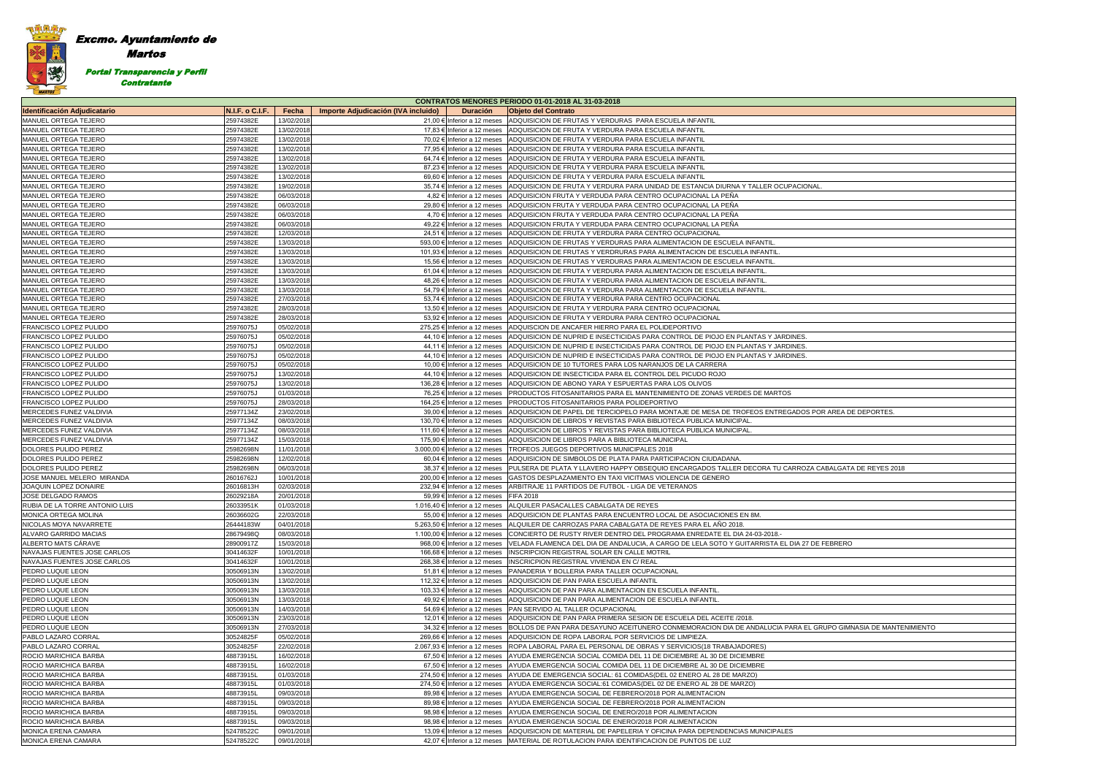**CONTRATOS MENORES PERIODO 01-01-2018 AL 31-03-2018** 

| AREA DE DEPORTES.            |
|------------------------------|
|                              |
|                              |
|                              |
|                              |
|                              |
|                              |
|                              |
|                              |
| BALGATA DE REYES 2018        |
|                              |
|                              |
|                              |
|                              |
|                              |
|                              |
|                              |
|                              |
|                              |
|                              |
|                              |
| <b>EBRERO</b>                |
|                              |
|                              |
|                              |
|                              |
|                              |
|                              |
|                              |
|                              |
|                              |
|                              |
|                              |
|                              |
|                              |
|                              |
| PO GIMNASIA DE MANTENIMIENTO |
|                              |
|                              |
|                              |
|                              |
|                              |
|                              |
|                              |
|                              |
|                              |
|                              |
|                              |
|                              |
|                              |
|                              |
|                              |
|                              |
|                              |

### Excmo. Ayuntamiento de Martos 灣 Portal Transparencia y Perfil Contratante

|                                     |                 |            |                                                        | <b>CONTRATOS MENORES PERIODO 01-01-2018 AL 31-03-2018</b>                                                     |
|-------------------------------------|-----------------|------------|--------------------------------------------------------|---------------------------------------------------------------------------------------------------------------|
| <b>Identificación Adjudicatario</b> | N.I.F. o C.I.F. | Fecha      | Importe Adjudicación (IVA incluido)<br><b>Duración</b> | <b>Objeto del Contrato</b>                                                                                    |
| MANUEL ORTEGA TEJERO                | 25974382E       | 13/02/2018 | 21,00 € Inferior a 12 meses                            | ADQUISICION DE FRUTAS Y VERDURAS PARA ESCUELA INFANTIL                                                        |
| <b>MANUEL ORTEGA TEJERO</b>         | 25974382E       | 13/02/2018 | 17,83 € Inferior a 12 meses                            | ADQUISICION DE FRUTA Y VERDURA PARA ESCUELA INFANTIL                                                          |
| <b>MANUEL ORTEGA TEJERO</b>         | 25974382E       | 13/02/2018 | 70,02 € Inferior a 12 meses                            | ADQUISICION DE FRUTA Y VERDURA PARA ESCUELA INFANTIL                                                          |
| <b>MANUEL ORTEGA TEJERO</b>         | 25974382E       | 13/02/2018 | 77,95 € Inferior a 12 meses                            | ADQUISICION DE FRUTA Y VERDURA PARA ESCUELA INFANTIL                                                          |
| <b>MANUEL ORTEGA TEJERO</b>         | 25974382E       | 13/02/2018 | 64.74 € Inferior a 12 meses                            | ADQUISICION DE FRUTA Y VERDURA PARA ESCUELA INFANTIL                                                          |
| MANUEL ORTEGA TEJERO                | 25974382E       | 13/02/2018 | 87,23 € Inferior a 12 meses                            | ADQUISICION DE FRUTA Y VERDURA PARA ESCUELA INFANTIL                                                          |
|                                     |                 |            |                                                        |                                                                                                               |
| MANUEL ORTEGA TEJERO                | 25974382E       | 13/02/2018 | 69,60 € Inferior a 12 meses                            | ADQUISICION DE FRUTA Y VERDURA PARA ESCUELA INFANTIL                                                          |
| MANUEL ORTEGA TEJERO                | 25974382E       | 19/02/2018 | 35,74 € Inferior a 12 meses                            | ADQUISICION DE FRUTA Y VERDURA PARA UNIDAD DE ESTANCIA DIURNA Y TALLER OCUPACIONAL                            |
| <b>IMANUEL ORTEGA TEJERO</b>        | 25974382E       | 06/03/2018 | 4,82 € Inferior a 12 meses                             | ADQUISICION FRUTA Y VERDUDA PARA CENTRO OCUPACIONAL LA PEÑA                                                   |
| <b>MANUEL ORTEGA TEJERO</b>         | 25974382E       | 06/03/2018 | 29,80 € Inferior a 12 meses                            | ADQUISICION FRUTA Y VERDUDA PARA CENTRO OCUPACIONAL LA PEÑA                                                   |
| MANUEL ORTEGA TEJERO                | 25974382E       | 06/03/2018 | 4,70 € Inferior a 12 meses                             | ADQUISICION FRUTA Y VERDUDA PARA CENTRO OCUPACIONAL LA PEÑA                                                   |
| <b>MANUEL ORTEGA TEJERO</b>         | 25974382E       | 06/03/2018 | 49,22 € Inferior a 12 meses                            | ADQUISICION FRUTA Y VERDUDA PARA CENTRO OCUPACIONAL LA PENA                                                   |
| <b>MANUEL ORTEGA TEJERO</b>         | 25974382E       | 12/03/2018 | 24,51 € Inferior a 12 meses                            | ADQUISICION DE FRUTA Y VERDURA PARA CENTRO OCUPACIONAL                                                        |
| <b>MANUEL ORTEGA TEJERO</b>         | 25974382E       | 13/03/2018 | 593,00 € Inferior a 12 meses                           | ADQUISICION DE FRUTAS Y VERDURAS PARA ALIMENTACION DE ESCUELA INFANTIL                                        |
| <b>MANUEL ORTEGA TEJERO</b>         | 25974382E       | 13/03/2018 | 101,93 € Inferior a 12 meses                           | ADQUISICION DE FRUTAS Y VERDRURAS PARA ALIMENTACION DE ESCUELA INFANTIL                                       |
| <b>MANUEL ORTEGA TEJERO</b>         | 25974382E       | 13/03/2018 | 15,56 € Inferior a 12 meses                            | ADQUISICION DE FRUTAS Y VERDURAS PARA ALIMENTACION DE ESCUELA INFANTIL                                        |
|                                     |                 |            |                                                        |                                                                                                               |
| MANUEL ORTEGA TEJERO                | 25974382E       | 13/03/2018 | 61,04 € Inferior a 12 meses                            | ADQUISICION DE FRUTA Y VERDURA PARA ALIMENTACION DE ESCUELA INFANTIL                                          |
| MANUEL ORTEGA TEJERO                | 25974382E       | 13/03/2018 | 48,26 € Inferior a 12 meses                            | ADQUISICION DE FRUTA Y VERDURA PARA ALIMENTACION DE ESCUELA INFANTIL                                          |
| <b>MANUEL ORTEGA TEJERO</b>         | 25974382E       | 13/03/2018 | 54.79 € Inferior a 12 meses                            | ADQUISICION DE FRUTA Y VERDURA PARA ALIMENTACION DE ESCUELA INFANTIL                                          |
| <b>MANUEL ORTEGA TEJERO</b>         | 25974382E       | 27/03/2018 | 53,74 € Inferior a 12 meses                            | ADQUISICION DE FRUTA Y VERDURA PARA CENTRO OCUPACIONAL                                                        |
| MANUEL ORTEGA TEJERO                | 25974382E       | 28/03/2018 | 13,50 € Inferior a 12 meses                            | ADQUISICION DE FRUTA Y VERDURA PARA CENTRO OCUPACIONAL                                                        |
| <b>MANUEL ORTEGA TEJERO</b>         | 25974382E       | 28/03/2018 | 53,92 € Inferior a 12 meses                            | ADQUISICION DE FRUTA Y VERDURA PARA CENTRO OCUPACIONAL                                                        |
| <b>FRANCISCO LOPEZ PULIDO</b>       | 25976075J       | 05/02/2018 | 275,25 € Inferior a 12 meses                           | ADQUISCION DE ANCAFER HIERRO PARA EL POLIDEPORTIVO                                                            |
| <b>FRANCISCO LOPEZ PULIDO</b>       | 25976075J       | 05/02/2018 | 44,10 € Inferior a 12 meses                            | ADQUISICION DE NUPRID E INSECTICIDAS PARA CONTROL DE PIOJO EN PLANTAS Y JARDINES.                             |
| <b>FRANCISCO LOPEZ PULIDO</b>       | 25976075J       | 05/02/2018 | 44,11 € Inferior a 12 meses                            | ADQUISICION DE NUPRID E INSECTICIDAS PARA CONTROL DE PIOJO EN PLANTAS Y JARDINES.                             |
|                                     |                 |            |                                                        |                                                                                                               |
| <b>FRANCISCO LOPEZ PULIDO</b>       | 25976075J       | 05/02/2018 | 44,10 € Inferior a 12 meses                            | ADQUISICION DE NUPRID E INSECTICIDAS PARA CONTROL DE PIOJO EN PLANTAS Y JARDINES.                             |
| FRANCISCO LOPEZ PULIDO              | 25976075J       | 05/02/2018 | 10,00 € Inferior a 12 meses                            | ADQUISICION DE 10 TUTORES PARA LOS NARANJOS DE LA CARRERA                                                     |
| <b>FRANCISCO LOPEZ PULIDO</b>       | 25976075J       | 13/02/2018 | 44,10 € Inferior a 12 meses                            | ADQUISICION DE INSECTICIDA PARA EL CONTROL DEL PICUDO ROJO                                                    |
| <b>FRANCISCO LOPEZ PULIDO</b>       | 25976075J       | 13/02/2018 | 136,28 € Inferior a 12 meses                           | ADQUISICION DE ABONO YARA Y ESPUERTAS PARA LOS OLIVOS                                                         |
| <b>FRANCISCO LOPEZ PULIDO</b>       | 25976075J       | 01/03/2018 | 76,25 € Inferior a 12 meses                            | <b>PRODUCTOS FITOSANITARIOS PARA EL MANTENIMIENTO DE ZONAS VERDES DE MARTOS</b>                               |
| <b>FRANCISCO LOPEZ PULIDO</b>       | 25976075J       | 28/03/2018 | 164,25 € Inferior a 12 meses                           | <b>PRODUCTOS FITOSANITARIOS PARA POLIDEPORTIVO</b>                                                            |
| MERCEDES FUNEZ VALDIVIA             | 25977134Z       | 23/02/2018 | 39,00 € Inferior a 12 meses                            | ADQUISICION DE PAPEL DE TERCIOPELO PARA MONTAJE DE MESA DE TROFEOS ENTREGADOS POR AREA DE DEPORTES.           |
| MERCEDES FUNEZ VALDIVIA             | 25977134Z       | 08/03/2018 | 130,70 € Inferior a 12 meses                           | ADQUISICION DE LIBROS Y REVISTAS PARA BIBLIOTECA PUBLICA MUNICIPAL.                                           |
| MERCEDES FUNEZ VALDIVIA             | 25977134Z       | 08/03/2018 | 111,60 € Inferior a 12 meses                           | ADQUISICION DE LIBROS Y REVISTAS PARA BIBLIOTECA PUBLICA MUNICIPAL.                                           |
| MERCEDES FUNEZ VALDIVIA             | 25977134Z       | 15/03/2018 | 175,90 € Inferior a 12 meses                           | ADQUISICION DE LIBROS PARA A BIBLIOTECA MUNICIPAL                                                             |
|                                     |                 |            |                                                        |                                                                                                               |
| DOLORES PULIDO PEREZ                | 25982698N       | 11/01/2018 | 3.000,00 € Inferior a 12 meses                         | <b>TROFEOS JUEGOS DEPORTIVOS MUNICIPALES 2018</b>                                                             |
| DOLORES PULIDO PEREZ                | 25982698N       | 12/02/2018 | 60,04 € Inferior a 12 meses                            | ADQUISICION DE SIMBOLOS DE PLATA PARA PARTICIPACION CIUDADANA.                                                |
| DOLORES PULIDO PEREZ                | 25982698N       | 06/03/2018 | 38,37 € Inferior a 12 meses                            | PULSERA DE PLATA Y LLAVERO HAPPY OBSEQUIO ENCARGADOS TALLER DECORA TU CARROZA CABALGATA DE REYES 2018         |
| JOSE MANUEL MELERO MIRANDA          | 26016762J       | 10/01/2018 | 200,00 € Inferior a 12 meses                           | GASTOS DESPLAZAMIENTO EN TAXI VICITMAS VIOLENCIA DE GENERO                                                    |
| JOAQUIN LOPEZ DONAIRE               | 26016813H       | 02/03/2018 | 232,94 € Inferior a 12 meses                           | ARBITRAJE 11 PARTIDOS DE FUTBOL - LIGA DE VETERANOS                                                           |
| JOSE DELGADO RAMOS                  | 26029218A       | 20/01/2018 | 59,99 € Inferior a 12 meses                            | <b>FIFA 2018</b>                                                                                              |
| RUBIA DE LA TORRE ANTONIO LUIS      | 26033951K       | 01/03/2018 |                                                        | 1.016.40 € Inferior a 12 meses ALQUILER PASACALLES CABALGATA DE REYES                                         |
| MONICA ORTEGA MOLINA                | 26036602G       | 22/03/2018 |                                                        | 55,00 € Inferior a 12 meses ADQUISICION DE PLANTAS PARA ENCUENTRO LOCAL DE ASOCIACIONES EN 8M.                |
| NICOLAS MOYA NAVARRETE              | 26444183W       | 04/01/2018 |                                                        | 5.263,50 € Inferior a 12 meses   ALQUILER DE CARROZAS PARA CABALGATA DE REYES PARA EL ANO 2018.               |
| ALVARO GARRIDO MACIAS               | 28679498Q       | 08/03/2018 | 1.100.00 € Inferior a 12 meses                         |                                                                                                               |
|                                     |                 |            |                                                        | CONCIERTO DE RUSTY RIVER DENTRO DEL PROGRAMA ENREDATE EL DIA 24-03-2018.                                      |
| ALBERTO MATS CARAVE                 | 28900917Z       | 15/03/2018 | 968,00 € Inferior a 12 meses                           | VELADA FLAMENCA DEL DIA DE ANDALUCIA, A CARGO DE LELA SOTO Y GUITARRISTA EL DIA 27 DE FEBRERO                 |
| NAVAJAS FUENTES JOSE CARLOS         | 30414632F       | 10/01/2018 |                                                        | 166,68 € Inferior a 12 meses INSCRIPCION REGISTRAL SOLAR EN CALLE MOTRIL                                      |
| NAVAJAS FUENTES JOSE CARLOS         | 30414632F       | 10/01/2018 | 268,38 € Inferior a 12 meses                           | <b>INSCRICPION REGISTRAL VIVIENDA EN C/ REAL</b>                                                              |
| <b>PEDRO LUQUE LEON</b>             | 30506913N       | 13/02/2018 | 51,81 € Inferior a 12 meses                            | PANADERIA Y BOLLERIA PARA TALLER OCUPACIONAL                                                                  |
| <b>PEDRO LUQUE LEON</b>             | 30506913N       | 13/02/2018 | 112,32 € Inferior a 12 meses                           | ADQUISICION DE PAN PARA ESCUELA INFANTIL                                                                      |
| <b>PEDRO LUQUE LEON</b>             | 30506913N       | 13/03/2018 | 103,33 € Inferior a 12 meses                           | ADQUISICION DE PAN PARA ALIMENTACION EN ESCUELA INFANTIL                                                      |
| <b>PEDRO LUQUE LEON</b>             | 30506913N       | 13/03/2018 | 49,92 € Inferior a 12 meses                            | ADQUISICION DE PAN PARA ALIMENTACION DE ESCUELA INFANTIL                                                      |
| <b>PEDRO LUQUE LEON</b>             | 30506913N       | 14/03/2018 | 54,69 € Inferior a 12 meses                            | <b>PAN SERVIDO AL TALLER OCUPACIONAL</b>                                                                      |
| <b>PEDRO LUQUE LEON</b>             | 30506913N       | 23/03/2018 | 12,01 € Inferior a 12 meses                            | ADQUISICION DE PAN PARA PRIMERA SESION DE ESCUELA DEL ACEITE /2018.                                           |
|                                     |                 |            |                                                        |                                                                                                               |
| <b>PEDRO LUQUE LEON</b>             | 30506913N       | 27/03/2018 | 34,32 € Inferior a 12 meses                            | BOLLOS DE PAN PARA DESAYUNO ACEITUNERO CONMEMORACION DIA DE ANDALUCIA PARA EL GRUPO GIMNASIA DE MANTENIMIENTO |
| PABLO LAZARO CORRAL                 | 30524825F       | 05/02/2018 | 269,66 € Inferior a 12 meses                           | ADQUISICION DE ROPA LABORAL POR SERVICIOS DE LIMPIEZA.                                                        |
| <b>PABLO LAZARO CORRAL</b>          | 30524825F       | 22/02/2018 | 2.067,93 € Inferior a 12 meses                         | ROPA LABORAL PARA EL PERSONAL DE OBRAS Y SERVICIOS (18 TRABAJADORES)                                          |
| ROCIO MARICHICA BARBA               | 48873915L       | 16/02/2018 | 67,50 € Inferior a 12 meses                            | AYUDA EMERGENCIA SOCIAL COMIDA DEL 11 DE DICIEMBRE AL 30 DE DICIEMBRE                                         |
| ROCIO MARICHICA BARBA               | 48873915L       | 16/02/2018 | 67,50 € Inferior a 12 meses                            | AYUDA EMERGENCIA SOCIAL COMIDA DEL 11 DE DICIEMBRE AL 30 DE DICIEMBRE                                         |
| <b>ROCIO MARICHICA BARBA</b>        | 48873915L       | 01/03/2018 | 274,50 € Inferior a 12 meses                           | AYUDA DE EMERGENCIA SOCIAL: 61 COMIDAS (DEL 02 ENERO AL 28 DE MARZO)                                          |
| ROCIO MARICHICA BARBA               | 48873915L       | 01/03/2018 | 274,50 € Inferior a 12 meses                           | AYUDA EMERGENCIA SOCIAL:61 COMIDAS(DEL 02 DE ENERO AL 28 DE MARZO)                                            |
| <b>ROCIO MARICHICA BARBA</b>        | 48873915L       | 09/03/2018 | 89,98 € Inferior a 12 meses                            | AYUDA EMERGENCIA SOCIAL DE FEBRERO/2018 POR ALIMENTACION                                                      |
| ROCIO MARICHICA BARBA               | 48873915L       | 09/03/2018 | 89,98 € Inferior a 12 meses                            | AYUDA EMERGENCIA SOCIAL DE FEBRERO/2018 POR ALIMENTACION                                                      |
| ROCIO MARICHICA BARBA               |                 |            |                                                        |                                                                                                               |
|                                     | 48873915L       | 09/03/2018 | 98,98 € Inferior a 12 meses                            | AYUDA EMERGENCIA SOCIAL DE ENERO/2018 POR ALIMENTACION                                                        |
| <b>ROCIO MARICHICA BARBA</b>        | 48873915L       | 09/03/2018 | 98,98 € Inferior a 12 meses                            | AYUDA EMERGENCIA SOCIAL DE ENERO/2018 POR ALIMENTACION                                                        |
| <b>MONICA ERENA CAMARA</b>          | 52478522C       | 09/01/2018 | 13,09 € Inferior a 12 meses                            | ADQUISICION DE MATERIAL DE PAPELERIA Y OFICINA PARA DEPENDENCIAS MUNICIPALES                                  |
| MONICA ERENA CAMARA                 | 52478522C       | 09/01/2018 | 42,07 € Inferior a 12 meses                            | MATERIAL DE ROTULACION PARA IDENTIFICACION DE PUNTOS DE LUZ                                                   |
|                                     |                 |            |                                                        |                                                                                                               |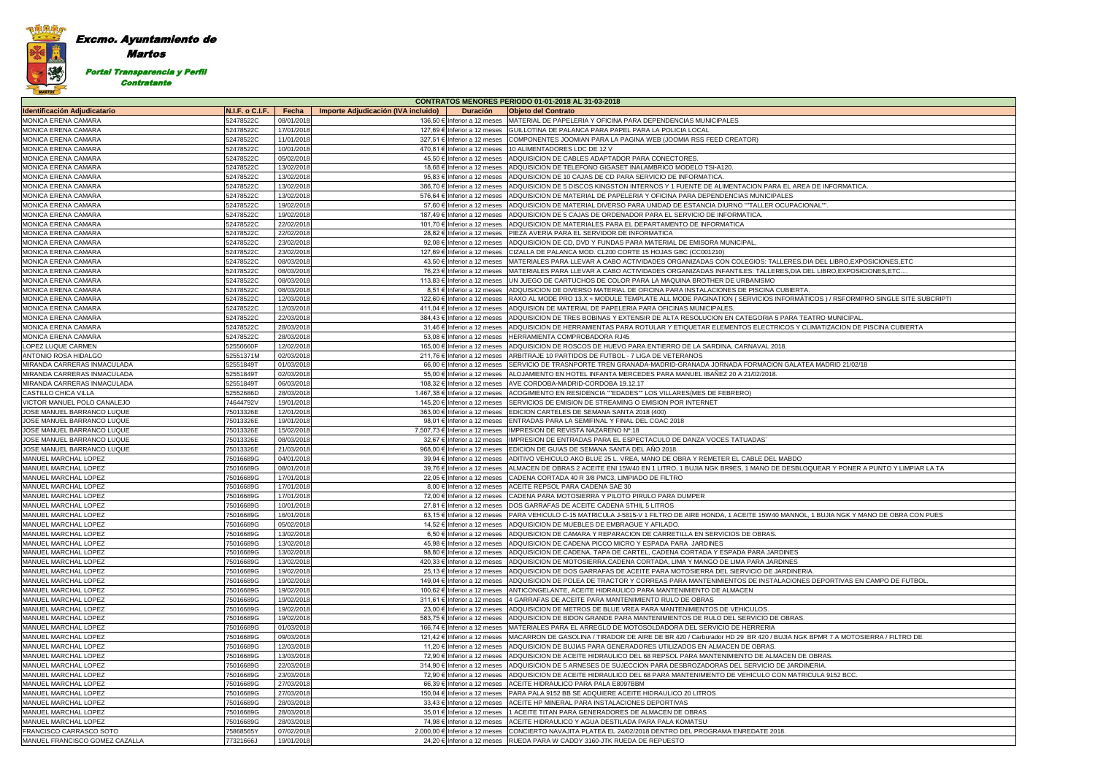## Excmo. Ayuntamiento de

Martos

灣

Portal Transparencia y Perfil

Contratante

| <b>CONTRATOS MENORES PERIODO 01-01-2018 AL 31-03-2018</b> |                        |                          |                                                             |                                                                                                                                                                                                  |  |  |  |
|-----------------------------------------------------------|------------------------|--------------------------|-------------------------------------------------------------|--------------------------------------------------------------------------------------------------------------------------------------------------------------------------------------------------|--|--|--|
| <b>Identificación Adjudicatario</b>                       | <b>N.I.F. o C.I.F.</b> | Fecha                    | Importe Adjudicación (IVA incluido)<br><b>Duración</b>      | <b>Objeto del Contrato</b>                                                                                                                                                                       |  |  |  |
| MONICA ERENA CAMARA                                       | 52478522C              | 08/01/2018               |                                                             | 136,50 € Inferior a 12 meses MATERIAL DE PAPELERIA Y OFICINA PARA DEPENDENCIAS MUNICIPALES                                                                                                       |  |  |  |
| MONICA ERENA CAMARA                                       | 52478522C              | 17/01/2018               | 127,69 € Inferior a 12 meses                                | GUILLOTINA DE PALANCA PARA PAPEL PARA LA POLICIA LOCAL                                                                                                                                           |  |  |  |
| MONICA ERENA CAMARA                                       | 52478522C              | 11/01/2018               | 327,51 € Inferior a 12 meses                                | COMPONENTES JOOMIAN PARA LA PAGINA WEB (JOOMIA RSS FEED CREATOR)                                                                                                                                 |  |  |  |
| MONICA ERENA CAMARA                                       | 52478522C              | 10/01/2018               | 470,81 € Inferior a 12 meses                                | 10 ALIMENTADORES LDC DE 12 V                                                                                                                                                                     |  |  |  |
| MONICA ERENA CAMARA                                       | 52478522C              | 05/02/2018               | 45,50 € Inferior a 12 meses                                 | ADQUISICION DE CABLES ADAPTADOR PARA CONECTORES.                                                                                                                                                 |  |  |  |
| MONICA ERENA CAMARA                                       | 52478522C              | 13/02/2018               | 18,68 € Inferior a 12 meses                                 | ADQUISICION DE TELEFONO GIGASET INALAMBRICO MODELO TSI-A120.                                                                                                                                     |  |  |  |
| MONICA ERENA CAMARA                                       | 52478522C              | 13/02/2018               | 95,83 € Inferior a 12 meses                                 | ADQUISICION DE 10 CAJAS DE CD PARA SERVICIO DE INFORMATICA.                                                                                                                                      |  |  |  |
| MONICA ERENA CAMARA                                       | 52478522C              | 13/02/2018               | 386,70 € Inferior a 12 meses                                | ADQUISICION DE 5 DISCOS KINGSTON INTERNOS Y 1 FUENTE DE ALIMENTACION PARA EL AREA DE INFORMATICA.                                                                                                |  |  |  |
| MONICA ERENA CAMARA                                       | 52478522C              | 13/02/2018               | 576,64 € Inferior a 12 meses                                | ADQUISICION DE MATERIAL DE PAPELERIA Y OFICINA PARA DEPENDENCIAS MUNICIPALES                                                                                                                     |  |  |  |
| MONICA ERENA CAMARA                                       | 52478522C              | 19/02/2018               | 57,60 € Inferior a 12 meses                                 | ADQUISICION DE MATERIAL DIVERSO PARA UNIDAD DE ESTANCIA DIURNO ""TALLER OCUPACIONAL"".                                                                                                           |  |  |  |
| MONICA ERENA CAMARA                                       | 52478522C              | 19/02/2018               | 187,49 € Inferior a 12 meses                                | ADQUISICION DE 5 CAJAS DE ORDENADOR PARA EL SERVICIO DE INFORMATICA.                                                                                                                             |  |  |  |
| MONICA ERENA CAMARA                                       | 52478522C              | 22/02/2018               | 101,70 € Inferior a 12 meses                                | ADQUISICION DE MATERIALES PARA EL DEPARTAMENTO DE INFORMATICA                                                                                                                                    |  |  |  |
| MONICA ERENA CAMARA                                       | 52478522C              | 22/02/2018               | 28,82 € Inferior a 12 meses                                 | PIEZA AVERIA PARA EL SERVIDOR DE INFORMATICA                                                                                                                                                     |  |  |  |
| MONICA ERENA CAMARA                                       | 52478522C              | 23/02/2018               | 92,08 € Inferior a 12 meses                                 | ADQUISICION DE CD, DVD Y FUNDAS PARA MATERIAL DE EMISORA MUNICIPAL                                                                                                                               |  |  |  |
| MONICA ERENA CAMARA                                       | 52478522C              | 23/02/2018               | 127,69 € Inferior a 12 meses                                | CIZALLA DE PALANCA MOD. CL200 CORTE 15 HOJAS GBC (CC001210)                                                                                                                                      |  |  |  |
| MONICA ERENA CAMARA                                       | 52478522C              | 08/03/2018               | 43,50 € Inferior a 12 meses                                 | MATERIALES PARA LLEVAR A CABO ACTIVIDADES ORGANIZADAS CON COLEGIOS: TALLERES,DIA DEL LIBRO,EXPOSICIONES,ETC                                                                                      |  |  |  |
| MONICA ERENA CAMARA                                       | 52478522C              | 08/03/2018               | 76,23 € Inferior a 12 meses                                 | MATERIALES PARA LLEVAR A CABO ACTIVIDADES ORGANIZADAS INFANTILES: TALLERES,DIA DEL LIBRO,EXPOSICIONES,ETC                                                                                        |  |  |  |
| MONICA ERENA CAMARA                                       | 52478522C              | 08/03/2018               | 113,83 € Inferior a 12 meses                                | UN JUEGO DE CARTUCHOS DE COLOR PARA LA MAQUINA BROTHER DE URBANISMO                                                                                                                              |  |  |  |
| MONICA ERENA CAMARA                                       | 52478522C              | 08/03/2018               | 8,51 € Inferior a 12 meses                                  | ADQUISICION DE DIVERSO MATERIAL DE OFICINA PARA INSTALACIONES DE PISCINA CUBIERTA.                                                                                                               |  |  |  |
| MONICA ERENA CAMARA                                       | 52478522C              | 12/03/2018               | 122,60 € Inferior a 12 meses                                | RAXO AL MODE PRO 13.X + MODULE TEMPLATE ALL MODE PAGINATION (SERVICIOS INFORMÁTICOS) / RSFORMPRO SINGLE SITE SUBCRIPT                                                                            |  |  |  |
| MONICA ERENA CAMARA                                       | 52478522C              | 12/03/2018               | 411,04 € Inferior a 12 meses                                | ADQUISION DE MATERIAL DE PAPELERIA PARA OFICINAS MUNICIPALES.                                                                                                                                    |  |  |  |
| MONICA ERENA CAMARA                                       | 52478522C              | 22/03/2018               | 384,43 € Inferior a 12 meses                                | ADQUISICION DE TRES BOBINAS Y EXTENSIR DE ALTA RESOLUCION EN CATEGORIA 5 PARA TEATRO MUNICIPAL.                                                                                                  |  |  |  |
| MONICA ERENA CAMARA                                       | 52478522C              | 28/03/2018               | 31.46 € Inferior a 12 meses                                 | ADQUISICION DE HERRAMIENTAS PARA ROTULAR Y ETIQUETAR ELEMENTOS ELECTRICOS Y CLIMATIZACION DE PISCINA CUBIERTA                                                                                    |  |  |  |
| MONICA ERENA CAMARA                                       | 52478522C              | 28/03/2018               | 53,08 € Inferior a 12 meses                                 | HERRAMIENTA COMPROBADORA RJ45                                                                                                                                                                    |  |  |  |
| LOPEZ LUQUE CARMEN                                        | 52550660F              | 12/02/2018               | 165,00 € Inferior a 12 meses                                | ADQUISICION DE ROSCOS DE HUEVO PARA ENTIERRO DE LA SARDINA, CARNAVAL 2018.                                                                                                                       |  |  |  |
| ANTONIO ROSA HIDALGO                                      | 52551371M              | 02/03/2018               | 211,76 € Inferior a 12 meses                                | ARBITRAJE 10 PARTIDOS DE FUTBOL - 7 LIGA DE VETERANOS                                                                                                                                            |  |  |  |
| MIRANDA CARRERAS INMACULADA                               | 52551849T              | 01/03/2018               | 66,00 € Inferior a 12 meses                                 | SERVICIO DE TRASNPORTE TREN GRANADA-MADRID-GRANADA JORNADA FORMACION GALATEA MADRID 21/02/18                                                                                                     |  |  |  |
| MIRANDA CARRERAS INMACULADA                               | 52551849T              | 02/03/2018               | 55,00 € Inferior a 12 meses                                 | ALOJAMIENTO EN HOTEL INFANTA MERCEDES PARA MANUEL IBAÑEZ 20 A 21/02/2018.                                                                                                                        |  |  |  |
| MIRANDA CARRERAS INMACULADA                               | 52551849T              | 06/03/2018               | 108,32 € Inferior a 12 meses                                | AVE CORDOBA-MADRID-CORDOBA 19.12.17                                                                                                                                                              |  |  |  |
| CASTILLO CHICA VILLA                                      | 52552686D              | 28/03/2018               | 1.467,38 € Inferior a 12 meses                              | ACOGIMIENTO EN RESIDENCIA ""EDADES"" LOS VILLARES(MES DE FEBRERO)                                                                                                                                |  |  |  |
| VICTOR MANUEL POLO CANALEJO                               | 74644792V              | 19/01/2018               | 145,20 € Inferior a 12 meses                                | SERVICIOS DE EMISION DE STREAMING O EMISION POR INTERNET                                                                                                                                         |  |  |  |
| JOSE MANUEL BARRANCO LUQUE                                | 75013326E              | 12/01/2018               | 363,00 € Inferior a 12 meses                                | EDICION CARTELES DE SEMANA SANTA 2018 (400)                                                                                                                                                      |  |  |  |
| JOSE MANUEL BARRANCO LUQUE                                | 75013326E              | 19/01/2018               | 98,01 € Inferior a 12 meses                                 | ENTRADAS PARA LA SEMIFINAL Y FINAL DEL COAC 2018                                                                                                                                                 |  |  |  |
| JOSE MANUEL BARRANCO LUQUE                                | 75013326E              | 15/02/2018               | 7.507,73 € Inferior a 12 meses                              | IMPRESION DE REVISTA NAZARENO Nº:18                                                                                                                                                              |  |  |  |
| JOSE MANUEL BARRANCO LUQUE<br>JOSE MANUEL BARRANCO LUQUE  | 75013326E<br>75013326E | 08/03/2018<br>21/03/2018 | 32,67 € Inferior a 12 meses<br>968,00 € Inferior a 12 meses | IMPRESION DE ENTRADAS PARA EL ESPECTACULO DE DANZA"VOCES TATUADAS"<br>EDICION DE GUIAS DE SEMANA SANTA DEL AÑO 2018.                                                                             |  |  |  |
| MANUEL MARCHAL LOPEZ                                      | 75016689G              | 04/01/2018               | 39,94 € Inferior a 12 meses                                 | ADITIVO VEHICULO AKO BLUE 25 L. VREA, MANO DE OBRA Y REMETER EL CABLE DEL MABDO                                                                                                                  |  |  |  |
| MANUEL MARCHAL LOPEZ                                      | 75016689G              | 08/01/2018               | 39,76 € Inferior a 12 meses                                 | ALMACEN DE OBRAS 2 ACEITE ENI 15W40 EN 1 LITRO, 1 BUJIA NGK BR9ES, 1 MANO DE DESBLOQUEAR Y PONER A PUNTO Y LIMPIAR LA TA                                                                         |  |  |  |
| MANUEL MARCHAL LOPEZ                                      | 75016689G              | 17/01/2018               | 22,05 € Inferior a 12 meses                                 | CADENA CORTADA 40 R 3/8 PMC3, LIMPIADO DE FILTRO                                                                                                                                                 |  |  |  |
| MANUEL MARCHAL LOPEZ                                      | 75016689G              | 17/01/2018               | 8,00 € Inferior a 12 meses                                  | ACEITE REPSOL PARA CADENA SAE 30                                                                                                                                                                 |  |  |  |
| MANUEL MARCHAL LOPEZ                                      | 75016689G              | 17/01/2018               |                                                             | 72,00 € Inferior a 12 meses CADENA PARA MOTOSIERRA Y PILOTO PIRULO PARA DUMPER                                                                                                                   |  |  |  |
| MANUEL MARCHAL LOPEZ                                      | 75016689G              | 10/01/2018               |                                                             | 27,81 € Inferior a 12 meses DOS GARRAFAS DE ACEITE CADENA STHIL 5 LITROS                                                                                                                         |  |  |  |
| MANUEL MARCHAL LOPEZ                                      | 75016689G              | 16/01/2018               |                                                             | 63,15 € Inferior a 12 meses PARA VEHICULO C-15 MATRICULA J-5815-V 1 FILTRO DE AIRE HONDA, 1 ACEITE 15W40 MANNOL, 1 BUJIA NGK Y MANO DE OBRA CON PUES                                             |  |  |  |
| <b>MANUEL MARCHAL LOPEZ</b>                               | 75016689G              | 05/02/2018               | 14,52 € Inferior a 12 meses                                 | ADQUISICION DE MUEBLES DE EMBRAGUE Y AFILADO.                                                                                                                                                    |  |  |  |
| MANUEL MARCHAL LOPEZ                                      | 75016689G              | 13/02/2018               | 6,50 € Inferior a 12 meses                                  | ADQUISICION DE CAMARA Y REPARACION DE CARRETILLA EN SERVICIOS DE OBRAS.                                                                                                                          |  |  |  |
| MANUEL MARCHAL LOPEZ                                      | 75016689G              | 13/02/2018               | 45,98 € Inferior a 12 meses                                 | ADQUISICION DE CADENA PICCO MICRO Y ESPADA PARA JARDINES                                                                                                                                         |  |  |  |
| MANUEL MARCHAL LOPEZ                                      | 75016689G              | 13/02/2018               | 98,80 € Inferior a 12 meses                                 | ADQUISICION DE CADENA, TAPA DE CARTEL, CADENA CORTADA Y ESPADA PARA JARDINES                                                                                                                     |  |  |  |
| <b>MANUEL MARCHAL LOPEZ</b>                               | 75016689G              | 13/02/2018               | 420,33 € Inferior a 12 meses                                | ADQUISICION DE MOTOSIERRA, CADENA CORTADA, LIMA Y MANGO DE LIMA PARA JARDINES                                                                                                                    |  |  |  |
| MANUEL MARCHAL LOPEZ                                      | 75016689G              | 19/02/2018               | 25,13 € Inferior a 12 meses                                 | ADQUISICION DE DOS GARRAFAS DE ACEITE PARA MOTOSIERRA DEL SIERVICIO DE JARDINERIA.                                                                                                               |  |  |  |
| MANUEL MARCHAL LOPEZ                                      | 75016689G              | 19/02/2018               |                                                             | 149,04 € Inferior a 12 meses   ADQUISICION DE POLEA DE TRACTOR Y CORREAS PARA MANTENIMIENTOS DE INSTALACIONES DEPORTIVAS EN CAMPO DE FUTBOL.                                                     |  |  |  |
| MANUEL MARCHAL LOPEZ                                      | 75016689G              | 19/02/2018               |                                                             | 100,62 € Inferior a 12 meses ANTICONGELANTE, ACEITE HIDRAULICO PARA MANTENIMIENTO DE ALMACEN                                                                                                     |  |  |  |
| MANUEL MARCHAL LOPEZ                                      | 75016689G              | 19/02/2018               | 311,61 € Inferior a 12 meses                                | 4 GARRAFAS DE ACEITE PARA MANTENIMIENTO RULO DE OBRAS                                                                                                                                            |  |  |  |
| MANUEL MARCHAL LOPEZ                                      | 75016689G              | 19/02/2018               | 23,00 € Inferior a 12 meses                                 | ADQUISICION DE METROS DE BLUE VREA PARA MANTENIMIENTOS DE VEHICULOS.                                                                                                                             |  |  |  |
| MANUEL MARCHAL LOPEZ                                      | 75016689G              | 19/02/2018               | 583,75 € Inferior a 12 meses                                | ADQUISICION DE BIDON GRANDE PARA MANTENIMIENTOS DE RULO DEL SERVICIO DE OBRAS.                                                                                                                   |  |  |  |
| MANUEL MARCHAL LOPEZ                                      | 75016689G              | 01/03/2018               | 166,74 € Inferior a 12 meses                                | MATERIALES PARA EL ARREGLO DE MOTOSOLDADORA DEL SERVICIO DE HERRERIA                                                                                                                             |  |  |  |
| MANUEL MARCHAL LOPEZ                                      | 75016689G<br>75016689G | 09/03/2018<br>12/03/2018 | 121,42 € Inferior a 12 meses<br>11,20 € Inferior a 12 meses | MACARRON DE GASOLINA / TIRADOR DE AIRE DE BR 420 / Carburador HD 29 BR 420 / BUJIA NGK BPMR 7 A MOTOSIERRA / FILTRO DE<br>ADQUISICION DE BUJIAS PARA GENERADORES UTILIZADOS EN ALMACEN DE OBRAS. |  |  |  |
| MANUEL MARCHAL LOPEZ<br>MANUEL MARCHAL LOPEZ              | 75016689G              | 13/03/2018               |                                                             | 72,90 € Inferior a 12 meses   ADQUISICION DE ACEITE HIDRAULICO DEL 68 REPSOL PARA MANTENIMIENTO DE ALMACEN DE OBRAS.                                                                             |  |  |  |
| MANUEL MARCHAL LOPEZ                                      | 75016689G              | 22/03/2018               | 314,90 € Inferior a 12 meses                                | ADQUISICION DE 5 ARNESES DE SUJECCION PARA DESBROZADORAS DEL SERVICIO DE JARDINERIA.                                                                                                             |  |  |  |
| MANUEL MARCHAL LOPEZ                                      | 75016689G              | 23/03/2018               |                                                             | 72,90 € Inferior a 12 meses   ADQUISICION DE ACEITE HIDRAULICO DEL 68 PARA MANTENIMIENTO DE VEHICULO CON MATRICULA 9152 BCC.                                                                     |  |  |  |
| MANUEL MARCHAL LOPEZ                                      | 75016689G              | 27/03/2018               | 66,39 € Inferior a 12 meses                                 | ACEITE HIDRAULICO PARA PALA E8097BBM                                                                                                                                                             |  |  |  |
| MANUEL MARCHAL LOPEZ                                      | 75016689G              | 27/03/2018               |                                                             | 150,04 € Inferior a 12 meses   PARA PALA 9152 BB SE ADQUIERE ACEITE HIDRAULICO 20 LITROS                                                                                                         |  |  |  |
| MANUEL MARCHAL LOPEZ                                      | 75016689G              | 28/03/2018               |                                                             | 33,43 € Inferior a 12 meses ACEITE HP MINERAL PARA INSTALACIONES DEPORTIVAS                                                                                                                      |  |  |  |
| MANUEL MARCHAL LOPEZ                                      | 75016689G              | 28/03/2018               | 35,01 € Inferior a 12 meses                                 | 1 ACEITE TITAN PARA GENERADORES DE ALMACEN DE OBRAS                                                                                                                                              |  |  |  |
| MANUEL MARCHAL LOPEZ                                      | 75016689G              | 28/03/2018               |                                                             | 74,98 € Inferior a 12 meses   ACEITE HIDRAULICO Y AGUA DESTILADA PARA PALA KOMATSU                                                                                                               |  |  |  |
| FRANCISCO CARRASCO SOTO                                   | 75868565Y              | 07/02/2018               | 2.000,00 € Inferior a 12 meses                              | CONCIERTO NAVAJITA PLATEA EL 24/02/2018 DENTRO DEL PROGRAMA ENREDATE 2018.                                                                                                                       |  |  |  |
| MANUEL FRANCISCO GOMEZ CAZALLA                            | 77321666J              | 19/01/2018               |                                                             | 24,20 € Inferior a 12 meses RUEDA PARA W CADDY 3160-JTK RUEDA DE REPUESTO                                                                                                                        |  |  |  |

| <b>IFORMATICA.</b>                |
|-----------------------------------|
|                                   |
|                                   |
|                                   |
|                                   |
|                                   |
|                                   |
|                                   |
| LIBRO, EXPOSICIONES, ETC          |
| RO,EXPOSICIONES,ETC               |
|                                   |
|                                   |
| / RSFORMPRO SINGLE SITE SUBCRIPTI |
|                                   |
| MUNICIPAL.                        |
| ZACION DE PISCINA CUBIERTA        |
|                                   |
|                                   |
|                                   |
| DRID 21/02/18                     |
|                                   |
|                                   |
|                                   |
|                                   |
|                                   |
|                                   |
|                                   |
|                                   |
|                                   |
|                                   |
| R Y PONER A PUNTO Y LIMPIAR LA TA |
|                                   |
|                                   |
|                                   |
|                                   |
| IIA NGK Y MANO DE OBRA CON PUES   |
|                                   |
|                                   |
|                                   |
|                                   |
|                                   |
|                                   |
| DRTIVAS EN CAMPO DE FUTBOL.       |
|                                   |
|                                   |
|                                   |
|                                   |
|                                   |
| 7 A MOTOSIERRA / FILTRO DE        |
|                                   |
| S.                                |
|                                   |
| 9152 BCC.                         |
|                                   |
|                                   |
|                                   |
|                                   |
|                                   |
|                                   |
|                                   |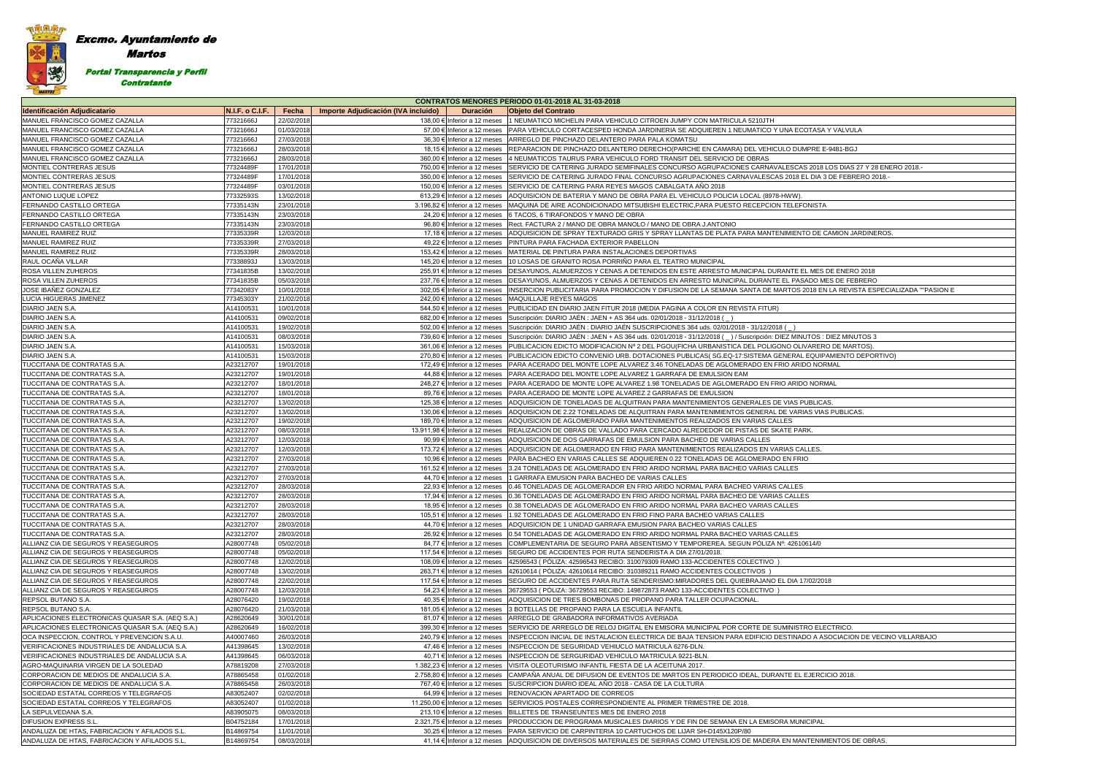# Excmo. Ayuntamiento de

纂 MARTOS

Martos

Portal Transparencia y Perfil

Contratante

|                                                  |                 |                                                                 | CONTRATOS MENORES PERIODO 01-01-2018 AL 31-03-2018                                                                              |
|--------------------------------------------------|-----------------|-----------------------------------------------------------------|---------------------------------------------------------------------------------------------------------------------------------|
| <b>Identificación Adjudicatario</b>              | N.I.F. o C.I.F. | Fecha<br>Importe Adjudicación (IVA incluido)<br><b>Duración</b> | <b>Objeto del Contrato</b>                                                                                                      |
| MANUEL FRANCISCO GOMEZ CAZALLA                   | 77321666J       | 22/02/2018<br>138,00 € Inferior a 12 meses                      | 1 NEUMATICO MICHELIN PARA VEHICULO CITROEN JUMPY CON MATRICULA 5210JTH                                                          |
| MANUEL FRANCISCO GOMEZ CAZALLA                   | 77321666J       | 01/03/2018<br>57,00 € Inferior a 12 meses                       | PARA VEHICULO CORTACESPED HONDA JARDINERIA SE ADQUIEREN 1 NEUMATICO Y UNA ECOTASA Y VALVULA                                     |
| MANUEL FRANCISCO GOMEZ CAZALLA                   | 77321666J       | 27/03/2018<br>36,30 € Inferior a 12 meses                       | ARREGLO DE PINCHAZO DELANTERO PARA PALA KOMATSU                                                                                 |
| MANUEL FRANCISCO GOMEZ CAZALLA                   | 77321666J       | 28/03/2018<br>18,15 € Inferior a 12 meses                       | REPARACION DE PINCHAZO DELANTERO DERECHO(PARCHE EN CAMARA) DEL VEHICULO DUMPRE E-9481-BGJ                                       |
| MANUEL FRANCISCO GOMEZ CAZALLA                   | 77321666J       | 28/03/2018<br>360,00 € Inferior a 12 meses                      | 4 NEUMATICOS TAURUS PARA VEHICULO FORD TRANSIT DEL SERVICIO DE OBRAS                                                            |
| MONTIEL CONTRERAS JESUS                          | 77324489F       | 17/01/2018<br>750,00 € Inferior a 12 meses                      | SERVICIO DE CATERING JURADO SEMIFINALES CONCURSO AGRUPACIONES CARNAVALESCAS 2018 LOS DIAS 27 Y 28 ENERO 2018.                   |
| MONTIEL CONTRERAS JESUS                          | 77324489F       | 17/01/2018<br>350,00 € Inferior a 12 meses                      | SERVICIO DE CATERING JURADO FINAL CONCURSO AGRUPACIONES CARNAVALESCAS 2018 EL DIA 3 DE FEBRERO 2018.-                           |
| MONTIEL CONTRERAS JESUS                          | 77324489F       | 03/01/2018<br>150,00 € Inferior a 12 meses                      | SERVICIO DE CATERING PARA REYES MAGOS CABALGATA AÑO 2018                                                                        |
| ANTONIO LUQUE LOPEZ                              | 77332593S       | 13/02/2018<br>613,29 € Inferior a 12 meses                      | ADQUISICION DE BATERIA Y MANO DE OBRA PARA EL VEHICULO POLICIA LOCAL (8978-HWW).                                                |
| FERNANDO CASTILLO ORTEGA                         | 77335143N       | 23/01/2018<br>3.196,82 € Inferior a 12 meses                    | MAQUINA DE AIRE ACONDICIONADO MITSUBISHI ELECTRIC, PARA PUESTO RECEPCION TELEFONISTA                                            |
| FERNANDO CASTILLO ORTEGA                         | 77335143N       | 23/03/2018<br>24,20 € Inferior a 12 meses                       | 6 TACOS, 6 TIRAFONDOS Y MANO DE OBRA                                                                                            |
| FERNANDO CASTILLO ORTEGA                         | 77335143N       | 23/03/2018<br>96,80 € Inferior a 12 meses                       | Rect. FACTURA 2 / MANO DE OBRA MANOLO / MANO DE OBRA J.ANTONIO                                                                  |
| MANUEL RAMIREZ RUIZ                              | 77335339R       | 12/03/2018<br>17,18 € Inferior a 12 meses                       | ADQUISICION DE SPRAY TEXTURADO GRIS Y SPRAY LLANTAS DE PLATA PARA MANTENIMIENTO DE CAMION JARDINEROS.                           |
| MANUEL RAMIREZ RUIZ                              | 77335339R       | 27/03/2018<br>49,22 € Inferior a 12 meses                       | PINTURA PARA FACHADA EXTERIOR PABELLON                                                                                          |
| MANUEL RAMIREZ RUIZ                              | 77335339R       | 28/03/2018<br>153,42 € Inferior a 12 meses                      | MATERIAL DE PINTURA PARA INSTALACIONES DEPORTIVAS                                                                               |
| RAUL OCAÑA VILLAR                                | 77338893J       | 13/03/2018<br>145,20 € Inferior a 12 meses                      | 10 LOSAS DE GRANITO ROSA PORRIÑO PARA EL TEATRO MUNICIPAL                                                                       |
| ROSA VILLEN ZUHEROS                              | 77341835B       | 13/02/2018<br>255,91 € Inferior a 12 meses                      | DESAYUNOS, ALMUERZOS Y CENAS A DETENIDOS EN ESTE ARRESTO MUNICIPAL DURANTE EL MES DE ENERO 2018                                 |
| <b>ROSA VILLEN ZUHEROS</b>                       | 77341835B       | 05/03/2018<br>237,76 € Inferior a 12 meses                      | DESAYUNOS, ALMUERZOS Y CENAS A DETENIDOS EN ARRESTO MUNICIPAL DURANTE EL PASADO MES DE FEBRERO                                  |
| JOSE IBAÑEZ GONZALEZ                             | 77342083Y       | 10/01/2018<br>302,05 € Inferior a 12 meses                      | INSERCION PUBLICITARIA PARA PROMOCION Y DIFUSION DE LA SEMANA SANTA DE MARTOS 2018 EN LA REVISTA ESPECIALIZADA ""PASION E       |
| LUCIA HIGUERAS JIMENEZ                           | 77345303Y       | 21/02/2018<br>242,00 € Inferior a 12 meses                      | <b>MAQUILLAJE REYES MAGOS</b>                                                                                                   |
| DIARIO JAEN S.A.                                 | A14100531       | 10/01/2018<br>544,50 € Inferior a 12 meses                      | PUBLICIDAD EN DIARIO JAEN FITUR 2018 (MEDIA PAGINA A COLOR EN REVISTA FITUR)                                                    |
| DIARIO JAEN S.A.                                 | A14100531       | 09/02/2018<br>682,00 € Inferior a 12 meses                      | Suscripción: DIARIO JAÉN : JAEN + AS 364 uds. 02/01/2018 - 31/12/2018 (                                                         |
|                                                  |                 |                                                                 |                                                                                                                                 |
| DIARIO JAEN S.A.                                 | A14100531       | 19/02/2018<br>502,00 € Inferior a 12 meses                      | Suscripción: DIARIO JAÉN : DIARIO JAÉN SUSCRIPCIONES 364 uds. 02/01/2018 - 31/12/2018 (                                         |
| DIARIO JAEN S.A.                                 | A14100531       | 08/03/2018<br>739,60 € Inferior a 12 meses                      | Suscripción: DIARIO JAÉN: JAEN + AS 364 uds. 02/01/2018 - 31/12/2018 () / Suscripción: DIEZ MINUTOS: DIEZ MINUTOS 3             |
| DIARIO JAEN S.A.                                 | A14100531       | 15/03/2018<br>361,06 € Inferior a 12 meses                      | PUBLICACION EDICTO MODIFICACION Nº 2 DEL PGOU(FICHA URBANISTICA DEL POLIGONO OLIVARERO DE MARTOS).                              |
| DIARIO JAEN S.A.                                 | A14100531       | 15/03/2018<br>270,80 € Inferior a 12 meses                      | PUBLICACION EDICTO CONVENIO URB. DOTACIONES PUBLICAS( SG.EQ-17:SISTEMA GENERAL EQUIPAMIENTO DEPORTIVO)                          |
| TUCCITANA DE CONTRATAS S.A.                      | A23212707       | 19/01/2018<br>172,49 € Inferior a 12 meses                      | PARA ACERADO DEL MONTE LOPE ALVAREZ 3.46 TONELADAS DE AGLOMERADO EN FRIO ARIDO NORMAL                                           |
| TUCCITANA DE CONTRATAS S.A.                      | A23212707       | 19/01/2018<br>44,88 € Inferior a 12 meses                       | PARA ACERADO DEL MONTE LOPE ALVAREZ 1 GARRAFA DE EMULSION EAM                                                                   |
| TUCCITANA DE CONTRATAS S.A                       | A23212707       | 18/01/2018<br>248,27 € Inferior a 12 meses                      | PARA ACERADO DE MONTE LOPE ALVAREZ 1.98 TONELADAS DE AGLOMERADO EN FRIO ARIDO NORMAL                                            |
| TUCCITANA DE CONTRATAS S.A                       | A23212707       | 18/01/2018<br>89,76 € Inferior a 12 meses                       | PARA ACERADO DE MONTE LOPE ALVAREZ 2 GARRAFAS DE EMULSION                                                                       |
| TUCCITANA DE CONTRATAS S.A                       | A23212707       | 13/02/2018<br>125,38 € Inferior a 12 meses                      | ADQUISICION DE TONELADAS DE ALQUITRAN PARA MANTENIMIENTOS GENERALES DE VIAS PUBLICAS.                                           |
| TUCCITANA DE CONTRATAS S.A.                      | A23212707       | 13/02/2018<br>130,06 € Inferior a 12 meses                      | ADQUISICION DE 2.22 TONELADAS DE ALQUITRAN PARA MANTENIMIENTOS GENERAL DE VARIAS VIAS PUBLICAS.                                 |
| TUCCITANA DE CONTRATAS S.A.                      | A23212707       | 19/02/2018<br>189,70 € Inferior a 12 meses                      | ADQUISICION DE AGLOMERADO PARA MANTENIMIENTOS REALIZADOS EN VARIAS CALLES                                                       |
| TUCCITANA DE CONTRATAS S.A                       | A23212707       | 08/03/2018<br>13.911,98 € Inferior a 12 meses                   | REALIZACION DE OBRAS DE VALLADO PARA CERCADO ALREDEDOR DE PISTAS DE SKATE PARK.                                                 |
| TUCCITANA DE CONTRATAS S.A.                      | A23212707       | 12/03/2018<br>90,99 € Inferior a 12 meses                       | ADQUISICION DE DOS GARRAFAS DE EMULSION PARA BACHEO DE VARIAS CALLES                                                            |
| TUCCITANA DE CONTRATAS S.A                       | A23212707       | 12/03/2018<br>173,72 € Inferior a 12 meses                      | ADQUISICION DE AGLOMERADO EN FRIO PARA MANTENIMIENTOS REALIZADOS EN VARIAS CALLES.                                              |
| TUCCITANA DE CONTRATAS S.A.                      | A23212707       | 27/03/2018<br>10,96 € Inferior a 12 meses                       | PARA BACHEO EN VARIAS CALLES SE ADQUIEREN 0.22 TONELADAS DE AGLOMERADO EN FRIO                                                  |
| TUCCITANA DE CONTRATAS S.A.                      | A23212707       | 27/03/2018<br>161,52 € Inferior a 12 meses                      | 3.24 TONELADAS DE AGLOMERADO EN FRIO ARIDO NORMAL PARA BACHEO VARIAS CALLES                                                     |
| TUCCITANA DE CONTRATAS S.A                       | A23212707       | 27/03/2018<br>44,70 € Inferior a 12 meses                       | 1 GARRAFA EMUSION PARA BACHEO DE VARIAS CALLES                                                                                  |
| TUCCITANA DE CONTRATAS S.A.                      | A23212707       | 28/03/2018<br>22,93 € Inferior a 12 meses                       | 0.46 TONELADAS DE AGLOMERADOR EN FRIO ARIDO NORMAL PARA BACHEO VARIAS CALLES                                                    |
| TUCCITANA DE CONTRATAS S.A                       | A23212707       | 28/03/2018<br>17,94 € Inferior a 12 meses                       | 0.36 TONELADAS DE AGLOMERADO EN FRIO ARIDO NORMAL PARA BACHEO DE VARIAS CALLES                                                  |
| TUCCITANA DE CONTRATAS S.A                       | A23212707       | 28/03/2018<br>18,95 € Inferior a 12 meses                       | 0.38 TONELADAS DE AGLOMERADO EN FRIO ARIDO NORMAL PARA BACHEO VARIAS CALLES                                                     |
| TUCCITANA DE CONTRATAS S.A.                      | A23212707       | 28/03/2018                                                      | 105,51 € Inferior a 12 meses 1.92 TONELADAS DE AGLOMERADO EN FRIO FINO PARA BACHEO VARIAS CALLES                                |
| TUCCITANA DE CONTRATAS S.A.                      | A23212707       | 28/03/2018                                                      | 44,70 € Inferior a 12 meses ADQUISICION DE 1 UNIDAD GARRAFA EMUSION PARA BACHEO VARIAS CALLES                                   |
| TUCCITANA DE CONTRATAS S.A.                      | A23212707       | 28/03/2018                                                      | 26,92 € Inferior a 12 meses 0.54 TONELADAS DE AGLOMERADO EN FRIO ARIDO NORMAL PARA BACHEO VARIAS CALLES                         |
| ALLIANZ CIA DE SEGUROS Y REASEGUROS              | A28007748       | 05/02/2018<br>84,77 € Inferior a 12 meses                       | COMPLEMENTARIA DE SEGURO PARA ABSENTISMO Y TEMPOREREA. SEGUN PÓLIZA Nº: 42610614/0                                              |
| ALLIANZ CIA DE SEGUROS Y REASEGUROS              | A28007748       | 05/02/2018<br>117.54 € Inferior a 12 meses                      | SEGURO DE ACCIDENTES POR RUTA SENDERISTA A DIA 27/01/2018.                                                                      |
| ALLIANZ CIA DE SEGUROS Y REASEGUROS              | A28007748       | 12/02/2018<br>108,09 € Inferior a 12 meses                      | 42596543 (PÓLIZA: 42596543 RECIBO: 310079309 RAMO 133-ACCIDENTES COLECTIVO)                                                     |
| ALLIANZ CIA DE SEGUROS Y REASEGUROS              | A28007748       | 13/02/2018<br>263,71 € Inferior a 12 meses                      | 42610614 (PÓLIZA: 42610614 RECIBO: 310389211 RAMO ACCIDENTES COLECTIVOS)                                                        |
| ALLIANZ CIA DE SEGUROS Y REASEGUROS              | A28007748       | 22/02/2018<br>117,54 € Inferior a 12 meses                      | SEGURO DE ACCIDENTES PARA RUTA SENDERISMO:MIRADORES DEL QUIEBRAJANO EL DIA 17/02/2018                                           |
| ALLIANZ CIA DE SEGUROS Y REASEGUROS              | A28007748       | 12/03/2018<br>54,23 € Inferior a 12 meses                       | 36729553 (PÓLIZA: 36729553 RECIBO: 149872873 RAMO 133-ACCIDENTES COLECTIVO)                                                     |
| <b>REPSOL BUTANO S.A.</b>                        | A28076420       | 19/02/2018<br>40.35 € Inferior a 12 meses                       | ADQUISICION DE TRES BOMBONAS DE PROPANO PARA TALLER OCUPACIONAL                                                                 |
| REPSOL BUTANO S.A.                               | A28076420       | 21/03/2018<br>181,05 € Inferior a 12 meses                      | 3 BOTELLAS DE PROPANO PARA LA ESCUELA INFANTIL                                                                                  |
| APLICACIONES ELECTRONICAS QUASAR S.A. (AEQ S.A.) | A28620649       | 30/01/2018<br>81,07 € Inferior a 12 meses                       | ARREGLO DE GRABADORA INFORMATIVOS AVERIADA                                                                                      |
| APLICACIONES ELECTRONICAS QUASAR S.A. (AEQ S.A.) | A28620649       | 16/02/2018<br>399,30 € Inferior a 12 meses                      | SERVICIO DE ARREGLO DE RELOJ DIGITAL EN EMISORA MUNICIPAL POR CORTE DE SUMINISTRO ELECTRICO.                                    |
| OCA INSPECCION, CONTROL Y PREVENCION S.A.U.      | A40007460       | 26/03/2018<br>240,79 € Inferior a 12 meses                      | INSPECCION INICIAL DE INSTALACION ELECTRICA DE BAJA TENSION PARA EDIFICIO DESTINADO A ASOCIACION DE VECINO VILLARBAJO           |
| VERIFICACIONES INDUSTRIALES DE ANDALUCIA S.A.    | A41398645       | 13/02/2018<br>47,46 € Inferior a 12 meses                       | INSPECCION DE SEGURIDAD VEHIUCLO MATRICULA 6276-DLN.                                                                            |
| VERIFICACIONES INDUSTRIALES DE ANDALUCIA S.A.    | A41398645       | 06/03/2018<br>40,71 € Inferior a 12 meses                       | INSPECCION DE SERGURIDAD VEHICULO MATRICULA 9221-BLN.                                                                           |
| AGRO-MAQUINARIA VIRGEN DE LA SOLEDAD             | A78819208       | 27/03/2018<br>1.382,23 € Inferior a 12 meses                    | VISITA OLEOTURISMO INFANTIL FIESTA DE LA ACEITUNA 2017.                                                                         |
| CORPORACION DE MEDIOS DE ANDALUCIA S.A.          | A78865458       | 2.758,80 € Inferior a 12 meses<br>01/02/2018                    | CAMPAÑA ANUAL DE DIFUSION DE EVENTOS DE MARTOS EN PERIODICO IDEAL, DURANTE EL EJERCICIO 2018.                                   |
| CORPORACION DE MEDIOS DE ANDALUCIA S.A.          | A78865458       | 26/03/2018<br>767,40 € Inferior a 12 meses                      | SUSCRIPCION DIARIO IDEAL AÑO 2018 - CASA DE LA CULTURA                                                                          |
| SOCIEDAD ESTATAL CORREOS Y TELEGRAFOS            | A83052407       | 02/02/2018<br>64,99 € Inferior a 12 meses                       | <b>RENOVACION APARTADO DE CORREOS</b>                                                                                           |
| SOCIEDAD ESTATAL CORREOS Y TELEGRAFOS            | A83052407       | 01/02/2018<br>11.250,00 € Inferior a 12 meses                   | SERVICIOS POSTALES CORRESPONDIENTE AL PRIMER TRIMESTRE DE 2018.                                                                 |
| LA SEPULVEDANA S.A.                              | A83905075       | 08/03/2018<br>213,10 € Inferior a 12 meses                      | BILLETES DE TRANSEUNTES MES DE ENERO 2018                                                                                       |
| <b>DIFUSION EXPRESS S.L.</b>                     | B04752184       | 17/01/2018<br>2.321,75 € Inferior a 12 meses                    | PRODUCCION DE PROGRAMA MUSICALES DIARIOS Y DE FIN DE SEMANA EN LA EMISORA MUNICIPAL                                             |
| ANDALUZA DE HTAS, FABRICACION Y AFILADOS S.L.    | B14869754       | 30,25 € Inferior a 12 meses<br>11/01/2018                       | PARA SERVICIO DE CARPINTERIA 10 CARTUCHOS DE LIJAR SH-D145X120P/80                                                              |
| ANDALUZA DE HTAS, FABRICACION Y AFILADOS S.L.    | B14869754       | 08/03/2018                                                      | 41,14 € Inferior a 12 meses ADQUISICION DE DIVERSOS MATERIALES DE SIERRAS COMO UTENSILIOS DE MADERA EN MANTENIMIENTOS DE OBRAS. |
|                                                  |                 |                                                                 |                                                                                                                                 |

| Y VALVULA                           |
|-------------------------------------|
|                                     |
| 9481-BGJ                            |
|                                     |
| OS DIAS 27 Y 28 ENERO 2018 .-       |
| DE FEBRERO 2018 .-                  |
|                                     |
|                                     |
|                                     |
|                                     |
|                                     |
|                                     |
| AMION JARDINEROS.                   |
|                                     |
|                                     |
|                                     |
|                                     |
| DE ENERO 2018                       |
| S DE FEBRERO                        |
| LA REVISTA ESPECIALIZADA ""PASION E |
|                                     |
|                                     |
|                                     |
|                                     |
|                                     |
| DIEZ MINUTOS 3                      |
|                                     |
| DE MARTOS).                         |
| MIENTO DEPORTIVO)                   |
| MAL                                 |
|                                     |
| IAL                                 |
|                                     |
|                                     |
| S.                                  |
| PUBLICAS.                           |
|                                     |
|                                     |
|                                     |
|                                     |
|                                     |
|                                     |
|                                     |
|                                     |
|                                     |
|                                     |
|                                     |
|                                     |
|                                     |
|                                     |
|                                     |
|                                     |
|                                     |
|                                     |
|                                     |
|                                     |
| 8                                   |
|                                     |
|                                     |
|                                     |
|                                     |
|                                     |
| CTRICO.                             |
| OCIACION DE VECINO VILLARBAJO       |
|                                     |
|                                     |
|                                     |
|                                     |
| $\overline{CIO}$ 2018.              |
|                                     |
|                                     |
|                                     |
|                                     |
|                                     |
|                                     |
|                                     |
| ENTOS DE OBRAS.                     |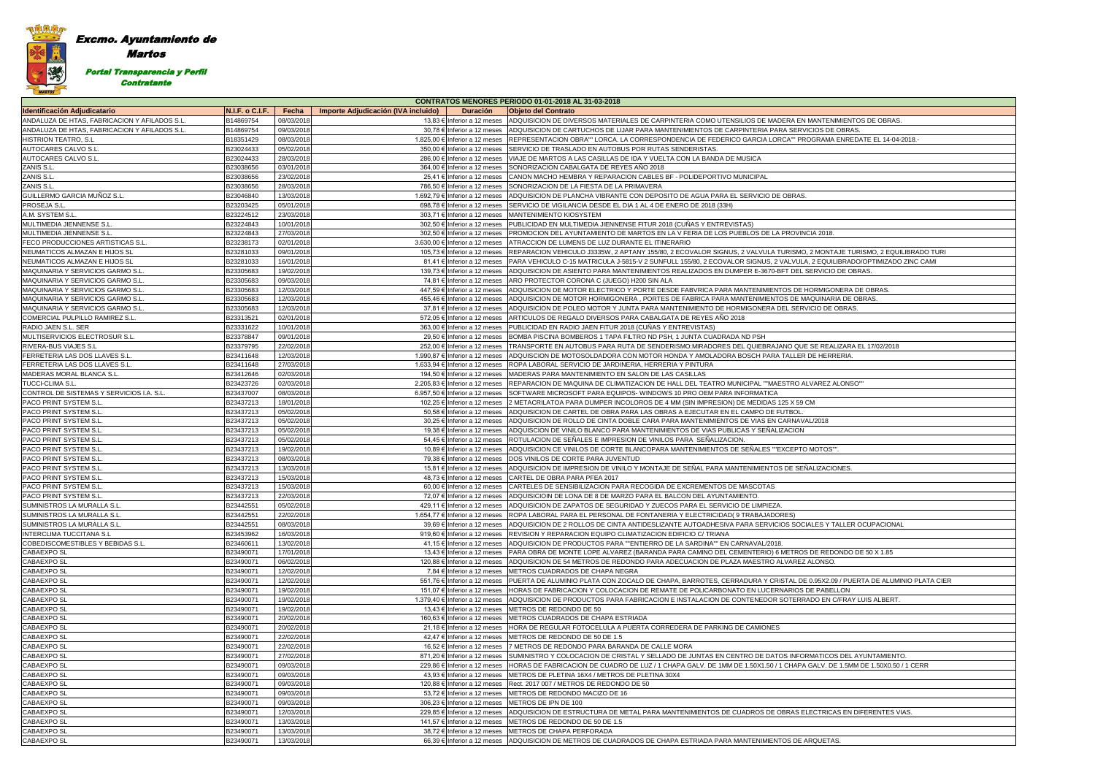### Excmo. Ayuntamiento de Martos 灣 Portal Transparencia y Perfil Contratante

|                                               | <b>CONTRATOS MENORES PERIODO 01-01-2018 AL 31-03-2018</b> |            |                                     |                                |                                                                                                                                        |  |  |
|-----------------------------------------------|-----------------------------------------------------------|------------|-------------------------------------|--------------------------------|----------------------------------------------------------------------------------------------------------------------------------------|--|--|
| <b>Identificación Adjudicatario</b>           | <b>N.I.F. o C.I.F.</b>                                    | Fecha      | Importe Adjudicación (IVA incluido) | <b>Duración</b>                | <b>Objeto del Contrato</b>                                                                                                             |  |  |
| ANDALUZA DE HTAS, FABRICACION Y AFILADOS S.L  | B14869754                                                 | 08/03/2018 |                                     | 13,83 € Inferior a 12 meses    | ADQUISICION DE DIVERSOS MATERIALES DE CARPINTERIA COMO UTENSILIOS DE MADERA EN MANTENIMIENTOS DE OBRAS.                                |  |  |
| ANDALUZA DE HTAS, FABRICACION Y AFILADOS S.L. | B14869754                                                 | 09/03/2018 |                                     | 30,78 € Inferior a 12 meses    | ADQUISICION DE CARTUCHOS DE LIJAR PARA MANTENIMIENTOS DE CARPINTERIA PARA SERVICIOS DE OBRAS.                                          |  |  |
| <b>HISTRION TEATRO, S.L</b>                   | B18351429                                                 | 08/03/2018 |                                     | 1.825,00 € Inferior a 12 meses | REPRESENTACION OBRA"" LORCA. LA CORRESPONDENCIA DE FEDERICO GARCIA LORCA"" PROGRAMA ENREDATE EL 14-04-2018.-                           |  |  |
| AUTOCARES CALVO S.L.                          | B23024433                                                 | 05/02/2018 |                                     | 350.00 € Inferior a 12 meses   | SERVICIO DE TRASLADO EN AUTOBUS POR RUTAS SENDERISTAS.                                                                                 |  |  |
| AUTOCARES CALVO S.L.                          | B23024433                                                 | 28/03/2018 |                                     | 286,00 € Inferior a 12 meses   | VIAJE DE MARTOS A LAS CASILLAS DE IDA Y VUELTA CON LA BANDA DE MUSICA                                                                  |  |  |
| ZANIS S.L.                                    | B23038656                                                 | 03/01/2018 |                                     | 364,00 € Inferior a 12 meses   | SONORIZACION CABALGATA DE REYES AÑO 2018                                                                                               |  |  |
| ZANIS S.L.                                    | B23038656                                                 | 23/02/2018 |                                     | 25,41 € Inferior a 12 meses    | CANON MACHO HEMBRA Y REPARACION CABLES BF - POLIDEPORTIVO MUNICIPAL                                                                    |  |  |
| ZANIS S.L.                                    | B23038656                                                 | 28/03/2018 |                                     | 786,50 € Inferior a 12 meses   | SONORIZACION DE LA FIESTA DE LA PRIMAVERA                                                                                              |  |  |
| GUILLERMO GARCIA MUÑOZ S.L                    | B23046840                                                 | 13/03/2018 |                                     | 1.692,79 € Inferior a 12 meses | ADQUISICION DE PLANCHA VIBRANTE CON DEPOSITO DE AGUA PARA EL SERVICIO DE OBRAS.                                                        |  |  |
| PROSEJA S.L.                                  | B23203425                                                 | 05/01/2018 |                                     | 698,78 € Inferior a 12 meses   | SERVICIO DE VIGILANCIA DESDE EL DIA 1 AL 4 DE ENERO DE 2018 (33H)                                                                      |  |  |
| A.M. SYSTEM S.L.                              | B23224512                                                 | 23/03/2018 |                                     | 303,71 € Inferior a 12 meses   | MANTENIMIENTO KIOSYSTEM                                                                                                                |  |  |
| MULTIMEDIA JIENNENSE S.L.                     | B23224843                                                 | 10/01/2018 |                                     | 302,50 € Inferior a 12 meses   | PUBLICIDAD EN MULTIMEDIA JIENNENSE FITUR 2018 (CUÑAS Y ENTREVISTAS)                                                                    |  |  |
| MULTIMEDIA JIENNENSE S.L.                     | B23224843                                                 | 27/03/2018 |                                     | 302,50 € Inferior a 12 meses   | PROMOCION DEL AYUNTAMIENTO DE MARTOS EN LA V FERIA DE LOS PUEBLOS DE LA PROVINCIA 2018.                                                |  |  |
| FECO PRODUCCIONES ARTISTICAS S.L              | B23238173                                                 | 02/01/2018 |                                     | 3.630,00 € Inferior a 12 meses | ATRACCION DE LUMENS DE LUZ DURANTE EL ITINERARIO                                                                                       |  |  |
| NEUMATICOS ALMAZAN E HIJOS SL                 | B23281033                                                 | 09/01/2018 |                                     | 105,73 € Inferior a 12 meses   | REPARACION VEHICULO J3335W, 2 APTANY 155/80, 2 ECOVALOR SIGNUS, 2 VALVULA TURISMO, 2 MONTAJE TURISMO, 2 EQUILIBRADO TURI               |  |  |
| NEUMATICOS ALMAZAN E HIJOS SL                 | B23281033                                                 | 16/01/2018 |                                     | 81,41 € Inferior a 12 meses    | PARA VEHICULO C-15 MATRICULA J-5815-V 2 SUNFULL 155/80, 2 ECOVALOR SIGNUS, 2 VALVULA, 2 EQUILIBRADO/OPTIMIZADO ZINC CAMI               |  |  |
| MAQUINARIA Y SERVICIOS GARMO S.L.             | B23305683                                                 | 19/02/2018 |                                     | 139,73 € Inferior a 12 meses   | ADQUISICION DE ASIENTO PARA MANTENIMIENTOS REALIZADOS EN DUMPER E-3670-BFT DEL SERVICIO DE OBRAS.                                      |  |  |
| MAQUINARIA Y SERVICIOS GARMO S.L              | B23305683                                                 | 09/03/2018 |                                     | 74,81 € Inferior a 12 meses    | ARO PROTECTOR CORONA C (JUEGO) H200 SIN ALA                                                                                            |  |  |
| MAQUINARIA Y SERVICIOS GARMO S.L              | B23305683                                                 | 12/03/2018 |                                     | 447,59 € Inferior a 12 meses   | ADQUISICION DE MOTOR ELECTRICO Y PORTE DESDE FABVRICA PARA MANTENIMIENTOS DE HORMIGONERA DE OBRAS.                                     |  |  |
| MAQUINARIA Y SERVICIOS GARMO S.L              | B23305683                                                 | 12/03/2018 |                                     | 455,46 € Inferior a 12 meses   | ADQUISICION DE MOTOR HORMIGONERA , PORTES DE FABRICA PARA MANTENIMIENTOS DE MAQUINARIA DE OBRAS.                                       |  |  |
| <b>MAQUINARIA Y SERVICIOS GARMO S.L</b>       | B23305683                                                 | 12/03/2018 |                                     | 37,81 € Inferior a 12 meses    | ADQUISICION DE POLEO MOTOR Y JUNTA PARA MANTENIMIENTO DE HORMIGONERA DEL SERVICIO DE OBRAS.                                            |  |  |
| COMERCIAL PULPILLO RAMIREZ S.L.               | B23313521                                                 | 02/01/2018 |                                     | 572,05 € Inferior a 12 meses   | ARTICULOS DE REGALO DIVERSOS PARA CABALGATA DE REYES AÑO 2018                                                                          |  |  |
| RADIO JAEN S.L. SER                           | B23331622                                                 | 10/01/2018 |                                     | 363,00 € Inferior a 12 meses   | PUBLICIDAD EN RADIO JAEN FITUR 2018 (CUÑAS Y ENTREVISTAS)                                                                              |  |  |
| MULTISERVICIOS ELECTROSUR S.L                 | B23378847                                                 | 09/01/2018 |                                     | 29,50 € Inferior a 12 meses    | BOMBA PISCINA BOMBEROS 1 TAPA FILTRO ND PSH, 1 JUNTA CUADRADA ND PSH                                                                   |  |  |
| <b>RIVERA-BUS VIAJES S.L</b>                  | B23379795                                                 | 22/02/2018 |                                     | 252,00 € Inferior a 12 meses   | TRANSPORTE EN AUTOBUS PARA RUTA DE SENDERISMO:MIRADORES DEL QUIEBRAJANO QUE SE REALIZARA EL 17/02/2018                                 |  |  |
| <b>FERRETERIA LAS DOS LLAVES S.L.</b>         | B23411648                                                 | 12/03/2018 |                                     | 1.990,87 € Inferior a 12 meses | ADQUISCION DE MOTOSOLDADORA CON MOTOR HONDA Y AMOLADORA BOSCH PARA TALLER DE HERRERIA.                                                 |  |  |
| FERRETERIA LAS DOS LLAVES S.L.                | B23411648                                                 | 27/03/2018 |                                     | 1.633,94 € Inferior a 12 meses | ROPA LABORAL SERVICIO DE JARDINERIA, HERRERIA Y PINTURA                                                                                |  |  |
| MADERAS MORAL BLANCA S.L.                     | B23412646                                                 | 02/03/2018 |                                     | 194,50 € Inferior a 12 meses   | MADERAS PARA MANTENIMIENTO EN SALON DE LAS CASILLAS                                                                                    |  |  |
| TUCCI-CLIMA S.L.                              | B23423726                                                 | 02/03/2018 |                                     | 2.205,83 € Inferior a 12 meses | REPARACION DE MAQUINA DE CLIMATIZACION DE HALL DEL TEATRO MUNICIPAL ""MAESTRO ALVAREZ ALONSO""                                         |  |  |
| CONTROL DE SISTEMAS Y SERVICIOS I.A. S.L      | B23437007                                                 | 08/03/2018 |                                     | 6.957,50 € Inferior a 12 meses | SOFTWARE MICROSOFT PARA EQUIPOS-WINDOWS 10 PRO OEM PARA INFORMATICA                                                                    |  |  |
| PACO PRINT SYSTEM S.L                         | B23437213                                                 | 18/01/2018 |                                     | 102,25 € Inferior a 12 meses   | 2 METACRILATOA PARA DUMPER INCOLOROS DE 4 MM (SIN IMPRESION) DE MEDIDAS 125 X 59 CM                                                    |  |  |
| PACO PRINT SYSTEM S.L.                        | B23437213                                                 | 05/02/2018 |                                     | 50,58 € Inferior a 12 meses    | ADQUISICION DE CARTEL DE OBRA PARA LAS OBRAS A EJECUTAR EN EL CAMPO DE FUTBOL.                                                         |  |  |
| <b>PACO PRINT SYSTEM S.L.</b>                 | B23437213                                                 | 05/02/2018 |                                     | 30,25 € Inferior a 12 meses    | ADQUISICION DE ROLLO DE CINTA DOBLE CARA PARA MANTENIMIENTOS DE VIAS EN CARNAVAL/2018                                                  |  |  |
| PACO PRINT SYSTEM S.L.                        | B23437213                                                 | 05/02/2018 |                                     | 19,38 € Inferior a 12 meses    | ADQUISCION DE VINILO BLANCO PARA MANTENIMIENTOS DE VIAS PUBLICAS Y SEÑALIZACION                                                        |  |  |
| <b>PACO PRINT SYSTEM S.L</b>                  | B23437213                                                 | 05/02/2018 |                                     | 54,45 € Inferior a 12 meses    | ROTULACION DE SEÑALES E IMPRESION DE VINILOS PARA SEÑALIZACION.                                                                        |  |  |
| <b>PACO PRINT SYSTEM S.L</b>                  | B23437213                                                 | 19/02/2018 |                                     | 10,89 € Inferior a 12 meses    | ADQUISICION CE VINILOS DE CORTE BLANCOPARA MANTENIMIENTOS DE SEÑALES ""EXCEPTO MOTOS"".                                                |  |  |
| PACO PRINT SYSTEM S.L.                        | B23437213                                                 | 08/03/2018 |                                     | 79,38 € Inferior a 12 meses    | DOS VINILOS DE CORTE PARA JUVENTUD                                                                                                     |  |  |
| PACO PRINT SYSTEM S.L                         | B23437213                                                 | 13/03/2018 |                                     | 15,81 € Inferior a 12 meses    | ADQUISICION DE IMPRESION DE VINILO Y MONTAJE DE SEÑAL PARA MANTENIMIENTOS DE SEÑALIZACIONES.                                           |  |  |
| PACO PRINT SYSTEM S.L.                        | B23437213                                                 | 15/03/2018 |                                     | 48,73 € Inferior a 12 meses    | CARTEL DE OBRA PARA PFEA 2017                                                                                                          |  |  |
| PACO PRINT SYSTEM S.L.                        | B23437213                                                 | 15/03/2018 |                                     | 60,00 € Inferior a 12 meses    | CARTELES DE SENSIBILIZACION PARA RECOGIDA DE EXCREMENTOS DE MASCOTAS                                                                   |  |  |
| PACO PRINT SYSTEM S.L.                        | B23437213                                                 | 22/03/2018 |                                     |                                | 72.07 € Inferior a 12 meses ADQUISICIOIN DE LONA DE 8 DE MARZO PARA EL BALCON DEL AYUNTAMIENTO.                                        |  |  |
| <b>SUMINISTROS LA MURALLA S.L</b>             | B23442551                                                 | 05/02/2018 |                                     |                                | 429.11 € Inferior a 12 meses LADQUISICION DE ZAPATOS DE SEGURIDAD Y ZUECOS PARA EL SERVICIO DE LIMPIEZA                                |  |  |
| SUMINISTROS LA MURALLA S.L.                   | B23442551                                                 | 22/02/2018 |                                     |                                | 1.654,77 € Inferior a 12 meses ROPA LABORAL PARA EL PERSONAL DE FONTANERIA Y ELECTRICIDAD(9 TRABAJADORES)                              |  |  |
| SUMINISTROS LA MURALLA S.L.                   | B23442551                                                 | 08/03/2018 |                                     | 39,69 € Inferior a 12 meses    | ADQUISICION DE 2 ROLLOS DE CINTA ANTIDESLIZANTE AUTOADHESIVA PARA SERVICIOS SOCIALES Y TALLER OCUPACIONAL                              |  |  |
| <b>INTERCLIMA TUCCITANA S.L</b>               | B23453962                                                 | 16/03/2018 |                                     | 919.60 € Inferior a 12 meses   | <b>REVISION Y REPARACION EQUIPO CLIMATIZACION EDIFICIO C/ TRIANA</b>                                                                   |  |  |
| <b>COBEDISCOMESTIBLES Y BEBIDAS S.L</b>       | B23460611                                                 | 13/02/2018 |                                     | 41,15 € Inferior a 12 meses    | ADQUISICION DE PRODUCTOS PARA ""ENTIERRO DE LA SARDINA"" EN CARNAVAL/2018.                                                             |  |  |
| CABAEXPO SL                                   | B23490071                                                 | 17/01/2018 |                                     | 13,43 € Inferior a 12 meses    | PARA OBRA DE MONTE LOPE ALVAREZ (BARANDA PARA CAMINO DEL CEMENTERIO) 6 METROS DE REDONDO DE 50 X 1.85                                  |  |  |
| <b>CABAEXPO SL</b>                            | B23490071                                                 | 06/02/2018 |                                     | 120.88 € Inferior a 12 meses   | ADQUISICION DE 54 METROS DE REDONDO PARA ADECUACION DE PLAZA MAESTRO ALVAREZ ALONSO.                                                   |  |  |
| <b>CABAEXPO SL</b>                            | B23490071                                                 | 12/02/2018 |                                     | 7,84 € Inferior a 12 meses     | METROS CUADRADOS DE CHAPA NEGRA                                                                                                        |  |  |
| <b>CABAEXPO SL</b>                            | B23490071                                                 | 12/02/2018 |                                     | 551,76 € Inferior a 12 meses   | PUERTA DE ALUMINIO PLATA CON ZOCALO DE CHAPA, BARROTES, CERRADURA Y CRISTAL DE 0.95X2.09 / PUERTA DE ALUMINIO PLATA CIER               |  |  |
| CABAEXPO SL                                   | B23490071                                                 | 19/02/2018 |                                     | 151,07 € Inferior a 12 meses   | HORAS DE FABRICACION Y COLOCACION DE REMATE DE POLICARBONATO EN LUCERNARIOS DE PABELLON                                                |  |  |
| <b>CABAEXPO SL</b>                            | B23490071                                                 | 19/02/2018 |                                     | 1.379,40 € Inferior a 12 meses | ADQUISICION DE PRODUCTOS PARA FABRICACION E INSTALACION DE CONTENEDOR SOTERRADO EN C/FRAY LUIS ALBERT.                                 |  |  |
| CABAEXPO SL                                   | B23490071                                                 | 19/02/2018 |                                     | 13,43 € Inferior a 12 meses    | METROS DE REDONDO DE 50                                                                                                                |  |  |
| <b>CABAEXPO SL</b>                            | B23490071                                                 | 20/02/2018 |                                     | 160,63 € Inferior a 12 meses   | METROS CUADRADOS DE CHAPA ESTRIADA                                                                                                     |  |  |
| CABAEXPO SL                                   | B23490071                                                 | 20/02/2018 |                                     | 21,18 € Inferior a 12 meses    | HORA DE REGULAR FOTOCELULA A PUERTA CORREDERA DE PARKING DE CAMIONES                                                                   |  |  |
| CABAEXPO SL                                   | B23490071                                                 | 22/02/2018 |                                     | 42,47 € Inferior a 12 meses    | METROS DE REDONDO DE 50 DE 1.5                                                                                                         |  |  |
| CABAEXPO SL                                   | B23490071                                                 | 22/02/2018 |                                     |                                | 16,52 € Inferior a 12 meses 7 METROS DE REDONDO PARA BARANDA DE CALLE MORA                                                             |  |  |
| <b>CABAEXPO SL</b>                            | B23490071                                                 | 27/02/2018 |                                     |                                | 871,20 € Inferior a 12 meses SUMINISTRO Y COLOCACION DE CRISTAL Y SELLADO DE JUNTAS EN CENTRO DE DATOS INFORMATICOS DEL AYUNTAMIENTO.  |  |  |
| <b>CABAEXPO SL</b>                            | B23490071                                                 | 09/03/2018 |                                     | 229,86 € Inferior a 12 meses   | HORAS DE FABRICACION DE CUADRO DE LUZ / 1 CHAPA GALV. DE 1MM DE 1.50X1.50 / 1 CHAPA GALV. DE 1.5MM DE 1.50X0.50 / 1 CERR               |  |  |
| CABAEXPO SL                                   | B23490071                                                 | 09/03/2018 |                                     | 43,93 € Inferior a 12 meses    | METROS DE PLETINA 16X4 / METROS DE PLETINA 30X4                                                                                        |  |  |
| <b>CABAEXPO SL</b>                            | B23490071                                                 | 09/03/2018 |                                     | 120,88 € Inferior a 12 meses   | Rect. 2017 007 / METROS DE REDONDO DE 50                                                                                               |  |  |
| <b>CABAEXPO SL</b>                            | B23490071                                                 | 09/03/2018 |                                     | 53,72 € Inferior a 12 meses    | METROS DE REDONDO MACIZO DE 16                                                                                                         |  |  |
| CABAEXPO SL                                   | B23490071                                                 | 09/03/2018 |                                     | 306,23 € Inferior a 12 meses   | METROS DE IPN DE 100                                                                                                                   |  |  |
| <b>CABAEXPO SL</b>                            | B23490071                                                 | 12/03/2018 |                                     |                                | 229,85 € Inferior a 12 meses ADQUISICION DE ESTRUCTURA DE METAL PARA MANTENIMIENTOS DE CUADROS DE OBRAS ELECTRICAS EN DIFERENTES VIAS. |  |  |
| <b>CABAEXPO SL</b>                            | B23490071                                                 | 13/03/2018 |                                     | 141,57 € Inferior a 12 meses   | METROS DE REDONDO DE 50 DE 1.5                                                                                                         |  |  |
| CABAEXPO SL                                   | B23490071                                                 | 13/03/2018 |                                     | 38,72 € Inferior a 12 meses    | METROS DE CHAPA PERFORADA                                                                                                              |  |  |
| CABAEXPO SL                                   | B23490071                                                 | 13/03/2018 |                                     | 66,39 € Inferior a 12 meses    | ADQUISICION DE METROS DE CUADRADOS DE CHAPA ESTRIADA PARA MANTENIMIENTOS DE ARQUETAS.                                                  |  |  |
|                                               |                                                           |            |                                     |                                |                                                                                                                                        |  |  |

| NIMIENTOS DE OBRAS.                 |
|-------------------------------------|
| <b>DE OBRAS.</b>                    |
|                                     |
| AA ENREDATE EL 14-04-2018.-         |
|                                     |
|                                     |
|                                     |
|                                     |
|                                     |
|                                     |
|                                     |
|                                     |
|                                     |
|                                     |
|                                     |
|                                     |
|                                     |
|                                     |
| 8.                                  |
|                                     |
|                                     |
| ITAJE TURISMO, 2 EQUILIBRADO TURI   |
| JILIBRADO/OPTIMIZADO ZINC CAMI      |
|                                     |
| IO DE OBRAS.                        |
|                                     |
|                                     |
| GONERA DE OBRAS.                    |
|                                     |
| ARIA DE OBRAS.                      |
| E OBRAS.                            |
|                                     |
|                                     |
|                                     |
|                                     |
|                                     |
| ALIZARA EL 17/02/2018               |
|                                     |
| RRERIA.                             |
|                                     |
|                                     |
|                                     |
| ZALONSO""                           |
|                                     |
|                                     |
|                                     |
|                                     |
|                                     |
|                                     |
|                                     |
|                                     |
|                                     |
|                                     |
| S"".                                |
|                                     |
|                                     |
| CIONES.                             |
|                                     |
|                                     |
|                                     |
|                                     |
|                                     |
|                                     |
|                                     |
|                                     |
| TALLER OCUPACIONAL                  |
|                                     |
|                                     |
|                                     |
| DONDO DE 50 X 1.85                  |
|                                     |
| Ю.                                  |
|                                     |
|                                     |
| .09 / PUERTA DE ALUMINIO PLATA CIER |
| ELLON                               |
|                                     |
| V C/FRAY LUIS ALBERT.               |
|                                     |
|                                     |
|                                     |
|                                     |
|                                     |
|                                     |
|                                     |
|                                     |
|                                     |
|                                     |
| OS DEL AYUNTAMIENTO.                |
| DE 1.5MM DE 1.50X0.50 / 1 CERR      |
|                                     |
|                                     |
|                                     |
|                                     |
|                                     |
|                                     |
|                                     |
| CAS EN DIFERENTES VIAS.             |
|                                     |
|                                     |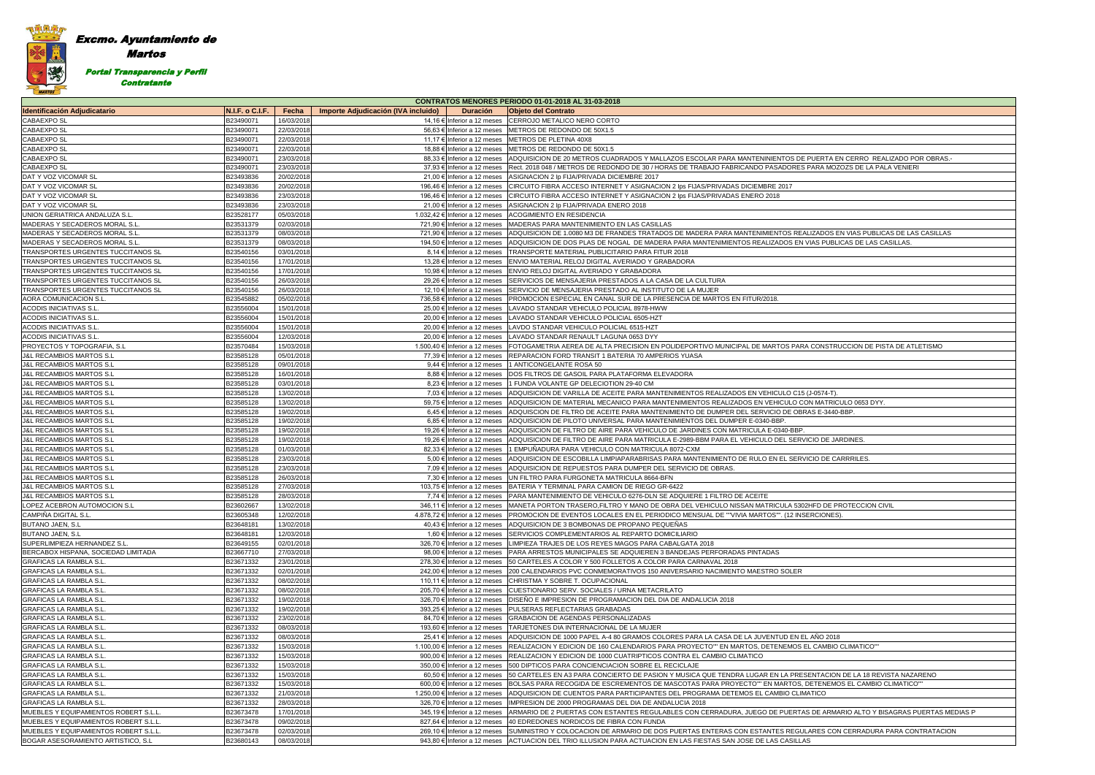### Excmo. Ayuntamiento de Martos 灣 Portal Transparencia y Perfil **Contratante**

| <b>CONTRATOS MENORES PERIODO 01-01-2018 AL 31-03-2018</b>        |                        |                          |                                     |                                                              |                                                                                                                                                                                                        |  |
|------------------------------------------------------------------|------------------------|--------------------------|-------------------------------------|--------------------------------------------------------------|--------------------------------------------------------------------------------------------------------------------------------------------------------------------------------------------------------|--|
| <b>Identificación Adjudicatario</b>                              | N.I.F. o C.I.F.        | Fecha                    | Importe Adjudicación (IVA incluido) | <b>Duración</b>                                              | <b>Objeto del Contrato</b>                                                                                                                                                                             |  |
| CABAEXPO SL                                                      | B23490071              | 16/03/2018               |                                     |                                                              | 14,16 € Inferior a 12 meses CERROJO METALICO NERO CORTO                                                                                                                                                |  |
| CABAEXPO SL                                                      | B23490071              | 22/03/2018               |                                     | 56,63 € Inferior a 12 meses                                  | METROS DE REDONDO DE 50X1.5                                                                                                                                                                            |  |
| CABAEXPO SL                                                      | B23490071              | 22/03/2018               |                                     | 11,17 € Inferior a 12 meses                                  | METROS DE PLETINA 40X8                                                                                                                                                                                 |  |
| <b>CABAEXPO SL</b>                                               | B23490071              | 22/03/2018               |                                     | 18,88 € Inferior a 12 meses                                  | METROS DE REDONDO DE 50X1.5                                                                                                                                                                            |  |
| <b>CABAEXPO SL</b>                                               | B23490071              | 23/03/2018               |                                     | 88,33 € Inferior a 12 meses                                  | ADQUISICION DE 20 METROS CUADRADOS Y MALLAZOS ESCOLAR PARA MANTENINIENTOS DE PUERTA EN CERRO REALIZADO POR OBRAS.                                                                                      |  |
| CABAEXPO SL                                                      | B23490071              | 23/03/2018               |                                     | 37,93 € Inferior a 12 meses                                  | Rect. 2018 048 / METROS DE REDONDO DE 30 / HORAS DE TRABAJO FABRICANDO PASADORES PARA MOZOZS DE LA PALA VENIERI                                                                                        |  |
| DAT Y VOZ VICOMAR SL                                             | B23493836              | 20/02/2018               |                                     | 21,00 € Inferior a 12 meses                                  | ASIGNACION 2 Ip FIJA/PRIVADA DICIEMBRE 2017                                                                                                                                                            |  |
| DAT Y VOZ VICOMAR SL                                             | B23493836              | 20/02/2018               |                                     | 196,46 € Inferior a 12 meses                                 | CIRCUITO FIBRA ACCESO INTERNET Y ASIGNACION 2 Ips FIJAS/PRIVADAS DICIEMBRE 2017                                                                                                                        |  |
| DAT Y VOZ VICOMAR SL                                             | B23493836              | 23/03/2018               |                                     | 196,46 € Inferior a 12 meses                                 | CIRCUITO FIBRA ACCESO INTERNET Y ASIGNACION 2 lps FIJAS/PRIVADAS ENERO 2018                                                                                                                            |  |
| DAT Y VOZ VICOMAR SL                                             | B23493836              | 23/03/2018               |                                     | 21,00 € Inferior a 12 meses                                  | ASIGNACION 2 Ip FIJA/PRIVADA ENERO 2018                                                                                                                                                                |  |
| UNION GERIATRICA ANDALUZA S.L.                                   | B23528177              | 05/03/2018               |                                     | 1.032,42 € Inferior a 12 meses                               | <b>ACOGIMIENTO EN RESIDENCIA</b><br>MADERAS PARA MANTENIMIENTO EN LAS CASILLAS                                                                                                                         |  |
| MADERAS Y SECADEROS MORAL S.L.<br>MADERAS Y SECADEROS MORAL S.L. | B23531379<br>B23531379 | 02/03/2018<br>08/03/2018 |                                     | 721,90 € Inferior a 12 meses<br>721,90 € Inferior a 12 meses | ADQUISICION DE 1.0080 M3 DE FRANDES TRATADOS DE MADERA PARA MANTENIMIENTOS REALIZADOS EN VIAS PUBLICAS DE LAS CASILLAS                                                                                 |  |
| MADERAS Y SECADEROS MORAL S.L                                    | B23531379              | 08/03/2018               |                                     | 194,50 € Inferior a 12 meses                                 | ADQUISICION DE DOS PLAS DE NOGAL DE MADERA PARA MANTENIMIENTOS REALIZADOS EN VIAS PUBLICAS DE LAS CASILLAS.                                                                                            |  |
| TRANSPORTES URGENTES TUCCITANOS SL                               | B23540156              | 03/01/2018               |                                     | 8,14 € Inferior a 12 meses                                   | <b>TRANSPORTE MATERIAL PUBLICITARIO PARA FITUR 2018</b>                                                                                                                                                |  |
| TRANSPORTES URGENTES TUCCITANOS SL                               | B23540156              | 17/01/2018               |                                     | 13,28 € Inferior a 12 meses                                  | ENVIO MATERIAL RELOJ DIGITAL AVERIADO Y GRABADORA                                                                                                                                                      |  |
| TRANSPORTES URGENTES TUCCITANOS SL                               | B23540156              | 17/01/2018               |                                     | 10,98 € Inferior a 12 meses                                  | ENVIO RELOJ DIGITAL AVERIADO Y GRABADORA                                                                                                                                                               |  |
| TRANSPORTES URGENTES TUCCITANOS SL                               | B23540156              | 26/03/2018               |                                     | 29.26 € Inferior a 12 meses                                  | SERVICIOS DE MENSAJERIA PRESTADOS A LA CASA DE LA CULTURA                                                                                                                                              |  |
| TRANSPORTES URGENTES TUCCITANOS SL                               | B23540156              | 26/03/2018               |                                     | 12,10 € Inferior a 12 meses                                  | SERVICIO DE MENSAJERIA PRESTADO AL INSTITUTO DE LA MUJER                                                                                                                                               |  |
| AORA COMUNICACION S.L.                                           | B23545882              | 05/02/2018               |                                     | 736,58 € Inferior a 12 meses                                 | PROMOCION ESPECIAL EN CANAL SUR DE LA PRESENCIA DE MARTOS EN FITUR/2018.                                                                                                                               |  |
| ACODIS INICIATIVAS S.L.                                          | B23556004              | 15/01/2018               |                                     | 25,00 € Inferior a 12 meses                                  | LAVADO STANDAR VEHICULO POLICIAL 8978-HWW                                                                                                                                                              |  |
| <b>ACODIS INICIATIVAS S.L</b>                                    | B23556004              | 15/01/2018               |                                     | 20,00 € Inferior a 12 meses                                  | LAVADO STANDAR VEHICULO POLICIAL 6505-HZT                                                                                                                                                              |  |
| <b>ACODIS INICIATIVAS S.L</b>                                    | B23556004              | 15/01/2018               |                                     | 20.00 € Inferior a 12 meses                                  | LAVDO STANDAR VEHICULO POLICIAL 6515-HZT                                                                                                                                                               |  |
| ACODIS INICIATIVAS S.L                                           | B23556004              | 12/03/2018               |                                     | 20,00 € Inferior a 12 meses                                  | LAVADO STANDAR RENAULT LAGUNA 0653 DYY                                                                                                                                                                 |  |
| PROYECTOS Y TOPOGRAFIA, S.L.                                     | B23570484              | 15/03/2018               |                                     | 1.500,40 € Inferior a 12 meses                               | FOTOGAMETRIA AEREA DE ALTA PRECISION EN POLIDEPORTIVO MUNICIPAL DE MARTOS PARA CONSTRUCCION DE PISTA DE ATLETISMO                                                                                      |  |
| <b>J&amp;L RECAMBIOS MARTOS S.L</b>                              | B23585128              | 05/01/2018               |                                     | 77,39 € Inferior a 12 meses                                  | REPARACION FORD TRANSIT 1 BATERIA 70 AMPERIOS YUASA                                                                                                                                                    |  |
| <b>J&amp;L RECAMBIOS MARTOS S.L</b>                              | B23585128              | 09/01/2018               |                                     | 9,44 € Inferior a 12 meses                                   | 1 ANTICONGELANTE ROSA 50                                                                                                                                                                               |  |
| <b>J&amp;L RECAMBIOS MARTOS S.L</b>                              | B23585128              | 16/01/2018               |                                     | 8,88 € Inferior a 12 meses                                   | DOS FILTROS DE GASOIL PARA PLATAFORMA ELEVADORA                                                                                                                                                        |  |
| <b>J&amp;L RECAMBIOS MARTOS S.L</b>                              | B23585128              | 03/01/2018               |                                     | 8,23 € Inferior a 12 meses                                   | 1 FUNDA VOLANTE GP DELECIOTION 29-40 CM                                                                                                                                                                |  |
| <b>J&amp;L RECAMBIOS MARTOS S.L</b>                              | B23585128              | 13/02/2018               |                                     | 7,03 € Inferior a 12 meses                                   | ADQUISICION DE VARILLA DE ACEITE PARA MANTENIMIENTOS REALIZADOS EN VEHICULO C15 (J-0574-T).                                                                                                            |  |
| <b>J&amp;L RECAMBIOS MARTOS S.L</b>                              | B23585128              | 13/02/2018               |                                     | 59,75 € Inferior a 12 meses                                  | ADQUISICION DE MATERIAL MECANICO PARA MANTENIMIENTOS REALIZADOS EN VEHICULO CON MATRICULO 0653 DYY.                                                                                                    |  |
| <b>J&amp;L RECAMBIOS MARTOS S.L</b>                              | B23585128              | 19/02/2018               |                                     | 6,45 € Inferior a 12 meses                                   | ADQUISCION DE FILTRO DE ACEITE PARA MANTENIMIENTO DE DUMPER DEL SERVICIO DE OBRAS E-3440-BBP                                                                                                           |  |
| <b>J&amp;L RECAMBIOS MARTOS S.L</b>                              | B23585128              | 19/02/2018               |                                     | 6,85 € Inferior a 12 meses                                   | ADQUISICION DE PILOTO UNIVERSAL PARA MANTENIMIENTOS DEL DUMPER E-0340-BBP.                                                                                                                             |  |
| <b>J&amp;L RECAMBIOS MARTOS S.L</b>                              | B23585128              | 19/02/2018               |                                     | 19,26 € Inferior a 12 meses                                  | ADQUISICION DE FILTRO DE AIRE PARA VEHICULO DE JARDINES CON MATRICULA E-0340-BBP.                                                                                                                      |  |
| <b>J&amp;L RECAMBIOS MARTOS S.L</b>                              | B23585128              | 19/02/2018               |                                     | 19,26 € Inferior a 12 meses                                  | ADQUISICION DE FILTRO DE AIRE PARA MATRICULA E-2989-BBM PARA EL VEHICULO DEL SERVICIO DE JARDINES.                                                                                                     |  |
| <b>J&amp;L RECAMBIOS MARTOS S.L</b>                              | B23585128              | 01/03/2018               |                                     | 82,33 € Inferior a 12 meses                                  | 1 EMPUNADURA PARA VEHICULO CON MATRICULA 8072-CXM                                                                                                                                                      |  |
| <b>J&amp;L RECAMBIOS MARTOS S.L</b>                              | B23585128              | 23/03/2018               |                                     | 5,00 € Inferior a 12 meses                                   | ADQUISICION DE ESCOBILLA LIMPIAPARABRISAS PARA MANTENIMIENTO DE RULO EN EL SERVICIO DE CARRRILES.                                                                                                      |  |
| <b>J&amp;L RECAMBIOS MARTOS S.L</b>                              | B23585128              | 23/03/2018               |                                     | 7,09 € Inferior a 12 meses                                   | ADQUISICION DE REPUESTOS PARA DUMPER DEL SERVICIO DE OBRAS.                                                                                                                                            |  |
| <b>J&amp;L RECAMBIOS MARTOS S.L</b>                              | B23585128              | 26/03/2018               |                                     | 7,30 € Inferior a 12 meses                                   | UN FILTRO PARA FURGONETA MATRICULA 8664-BFN                                                                                                                                                            |  |
| <b>J&amp;L RECAMBIOS MARTOS S.L</b>                              | B23585128              | 27/03/2018               |                                     | 103,75 € Inferior a 12 meses                                 | BATERIA Y TERMINAL PARA CAMION DE RIEGO GR-6422                                                                                                                                                        |  |
| <b>J&amp;L RECAMBIOS MARTOS S.L</b>                              | B23585128              | 28/03/2018               |                                     |                                                              | 7,74 € Inferior a 12 meses PARA MANTENIMIENTO DE VEHICULO 6276-DLN SE ADQUIERE 1 FILTRO DE ACEITE                                                                                                      |  |
| LOPEZ ACEBRON AUTOMOCION S.L                                     | B23602667              | 13/02/2018               |                                     |                                                              | 346,11 € Inferior a 12 meses MANETA PORTON TRASERO, FILTRO Y MANO DE OBRA DEL VEHICULO NISSAN MATRICULA 5302HFD DE PROTECCION CIVIL                                                                    |  |
| CAMPIÑA DIGITAL S.L.<br><b>BUTANO JAEN, S.L</b>                  | B23605348<br>B23648181 | 12/02/2018<br>13/02/2018 |                                     |                                                              | 4.878.72 € Inferior a 12 meses PROMOCION DE EVENTOS LOCALES EN EL PERIODICO MENSUAL DE ""VIVIA MARTOS"". (12 INSERCIONES)<br>40.43 € Inferior a 12 meses ADQUISICION DE 3 BOMBONAS DE PROPANO PEQUEÑAS |  |
| <b>BUTANO JAEN, S.L</b>                                          | B23648181              | 12/03/2018               |                                     |                                                              | 1,60 € Inferior a 12 meses SERVICIOS COMPLEMENTARIOS AL REPARTO DOMICILIARIO                                                                                                                           |  |
| SUPERLIMPIEZA HERNANDEZ S.L.                                     | B23649155              | 02/01/2018               |                                     | 326,70 € Inferior a 12 meses                                 | LIMPIEZA TRAJES DE LOS REYES MAGOS PARA CABALGATA 2018                                                                                                                                                 |  |
| BERCABOX HISPANA, SOCIEDAD LIMITADA                              | B23667710              | 27/03/2018               |                                     |                                                              | 98,00 € Inferior a 12 meses PARA ARRESTOS MUNICIPALES SE ADQUIEREN 3 BANDEJAS PERFORADAS PINTADAS                                                                                                      |  |
| <b>GRAFICAS LA RAMBLA S.L.</b>                                   | B23671332              | 23/01/2018               |                                     |                                                              | 278,30 € Inferior a 12 meses 50 CARTELES A COLOR Y 500 FOLLETOS A COLOR PARA CARNAVAL 2018                                                                                                             |  |
| <b>GRAFICAS LA RAMBLA S.L.</b>                                   | B23671332              | 02/01/2018               |                                     | 242,00 € Inferior a 12 meses                                 | 200 CALENDARIOS PVC CONMEMORATIVOS 150 ANIVERSARIO NACIMIENTO MAESTRO SOLER                                                                                                                            |  |
| <b>GRAFICAS LA RAMBLA S.L.</b>                                   | B23671332              | 08/02/2018               |                                     |                                                              | 110,11 € Inferior a 12 meses CHRISTMA Y SOBRE T. OCUPACIONAL                                                                                                                                           |  |
| GRAFICAS LA RAMBLA S.L.                                          | B23671332              | 08/02/2018               |                                     |                                                              | 205,70 € Inferior a 12 meses CUESTIONARIO SERV. SOCIALES / URNA METACRILATO                                                                                                                            |  |
| <b>GRAFICAS LA RAMBLA S.L.</b>                                   | B23671332              | 19/02/2018               |                                     | 326,70 € Inferior a 12 meses                                 | DISEÑO E IMPRESION DE PROGRAMACION DEL DIA DE ANDALUCIA 2018                                                                                                                                           |  |
| <b>GRAFICAS LA RAMBLA S.L.</b>                                   | B23671332              | 19/02/2018               |                                     |                                                              | 393,25 € Inferior a 12 meses   PULSERAS REFLECTARIAS GRABADAS                                                                                                                                          |  |
| <b>GRAFICAS LA RAMBLA S.L.</b>                                   | B23671332              | 23/02/2018               |                                     | 84,70 € Inferior a 12 meses                                  | GRABACION DE AGENDAS PERSONALIZADAS                                                                                                                                                                    |  |
| <b>GRAFICAS LA RAMBLA S.L.</b>                                   | B23671332              | 08/03/2018               |                                     |                                                              | 193,60 € Inferior a 12 meses   TARJETONES DIA INTERNACIONAL DE LA MUJER                                                                                                                                |  |
| <b>GRAFICAS LA RAMBLA S.L.</b>                                   | B23671332              | 08/03/2018               |                                     | 25,41 € Inferior a 12 meses                                  | ADQUISICION DE 1000 PAPEL A-4 80 GRAMOS COLORES PARA LA CASA DE LA JUVENTUD EN EL AÑO 2018                                                                                                             |  |
| <b>GRAFICAS LA RAMBLA S.L.</b>                                   | B23671332              | 15/03/2018               |                                     |                                                              | 1.100,00 € Inferior a 12 meses REALIZACION Y EDICION DE 160 CALENDARIOS PARA PROYECTO"" EN MARTOS, DETENEMOS EL CAMBIO CLIMATICO""                                                                     |  |
| <b>GRAFICAS LA RAMBLA S.L.</b>                                   | B23671332              | 15/03/2018               |                                     | 900,00 $\in$ Inferior a 12 meses                             | REALIZACION Y EDICION DE 1000 CUATRIPTICOS CONTRA EL CAMBIO CLIMATICO                                                                                                                                  |  |
| <b>GRAFICAS LA RAMBLA S.L.</b>                                   | B23671332              | 15/03/2018               |                                     | 350,00 € Inferior a 12 meses                                 | 500 DIPTICOS PARA CONCIENCIACION SOBRE EL RECICLAJE                                                                                                                                                    |  |
| <b>GRAFICAS LA RAMBLA S.L.</b>                                   | B23671332              | 15/03/2018               |                                     | 60,50 € Inferior a 12 meses                                  | 50 CARTELES EN A3 PARA CONCIERTO DE PASION Y MUSICA QUE TENDRA LUGAR EN LA PRESENTACION DE LA 18 REVISTA NAZARENO                                                                                      |  |
| <b>GRAFICAS LA RAMBLA S.L.</b>                                   | B23671332              | 15/03/2018               |                                     | 600,00 € Inferior a 12 meses                                 | BOLSAS PARA RECOGIDA DE ESCREMENTOS DE MASCOTAS PARA PROYECTO"" EN MARTOS, DETENEMOS EL CAMBIO CLIMATICO""                                                                                             |  |
| <b>GRAFICAS LA RAMBLA S.L.</b>                                   | B23671332              | 21/03/2018               |                                     | 1.250,00 € Inferior a 12 meses                               | ADQUISICION DE CUENTOS PARA PARTICIPANTES DEL PROGRAMA DETEMOS EL CAMBIO CLIMATICO                                                                                                                     |  |
| <b>GRAFICAS LA RAMBLA S.L.</b>                                   | B23671332              | 28/03/2018               |                                     | 326,70 € Inferior a 12 meses                                 | IMPRESION DE 2000 PROGRAMAS DEL DIA DE ANDALUCIA 2018                                                                                                                                                  |  |
| MUEBLES Y EQUIPAMIENTOS ROBERT S.L.L                             | B23673478              | 17/01/2018               |                                     | 345,19 € Inferior a 12 meses                                 | ARMARIO DE 2 PUERTAS CON ESTANTES REGULABLES CON CERRADURA, JUEGO DE PUERTAS DE ARMARIO ALTO Y BISAGRAS PUERTAS MEDIAS F                                                                               |  |
| MUEBLES Y EQUIPAMIENTOS ROBERT S.L.L.                            | B23673478              | 09/02/2018               |                                     | 827,64 € Inferior a 12 meses                                 | 40 EDREDONES NORDICOS DE FIBRA CON FUNDA                                                                                                                                                               |  |
| MUEBLES Y EQUIPAMIENTOS ROBERT S.L.L                             | B23673478              | 02/03/2018               |                                     | 269,10 € Inferior a 12 meses                                 | SUMINISTRO Y COLOCACION DE ARMARIO DE DOS PUERTAS ENTERAS CON ESTANTES REGULARES CON CERRADURA PARA CONTRATACION                                                                                       |  |
| BOGAR ASESORAMIENTO ARTISTICO, S.L.                              | B23680143              | 08/03/2018               |                                     | 943,80 € Inferior a 12 meses                                 | ACTUACION DEL TRIO ILLUSION PARA ACTUACION EN LAS FIESTAS SAN JOSE DE LAS CASILLAS                                                                                                                     |  |
|                                                                  |                        |                          |                                     |                                                              |                                                                                                                                                                                                        |  |

| TA EN CERRO REALIZADO POR OBRAS.-          |
|--------------------------------------------|
| MOZOZS DE LA PALA VENIERI                  |
|                                            |
|                                            |
|                                            |
|                                            |
|                                            |
|                                            |
| <b>DS EN VIAS PUBLICAS DE LAS CASILLAS</b> |
| UBLICAS DE LAS CASILLAS.                   |
|                                            |
|                                            |
|                                            |
|                                            |
|                                            |
|                                            |
|                                            |
|                                            |
|                                            |
|                                            |
| STRUCCION DE PISTA DE ATLETISMO            |
|                                            |
|                                            |
|                                            |
|                                            |
| I-T).                                      |
| FRICULO 0653 DYY.                          |
| 440-BBP.                                   |
|                                            |
|                                            |
| E JARDINES.                                |
|                                            |
| E CARRRILES.                               |
|                                            |
|                                            |
|                                            |
|                                            |
| E PROTECCION CIVIL                         |
| NES).                                      |
|                                            |
|                                            |
|                                            |
|                                            |
|                                            |
|                                            |
|                                            |
|                                            |
|                                            |
|                                            |
|                                            |
|                                            |
| 2018                                       |
| <b>BIO CLIMATICO""</b>                     |
|                                            |
|                                            |
| CION DE LA 18 REVISTA NAZARENO             |
| EMOS EL CAMBIO CLIMATICO""                 |
|                                            |
|                                            |
| RMARIO ALTO Y BISAGRAS PUERTAS MEDIAS P    |
|                                            |
| CON CERRADURA PARA CONTRATACION            |
|                                            |
|                                            |